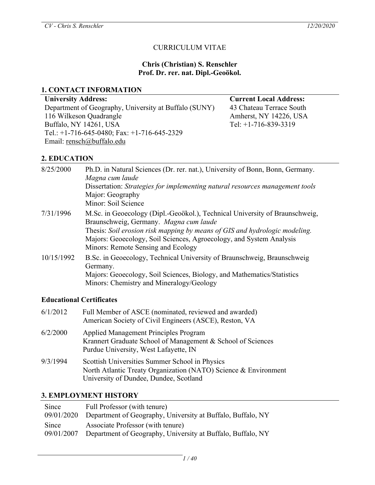### CURRICULUM VITAE

#### **Chris (Christian) S. Renschler Prof. Dr. rer. nat. Dipl.-Geoökol.**

#### **1. CONTACT INFORMATION**

**University Address: Current Local Address:** Department of Geography, University at Buffalo (SUNY) 43 Chateau Terrace South 116 Wilkeson Quadrangle Amherst, NY 14226, USA Buffalo, NY 14261, USA Tel: +1-716-839-3319 Tel.: +1-716-645-0480; Fax: +1-716-645-2329 Email: rensch@buffalo.edu

### **2. EDUCATION**

| 8/25/2000  | Ph.D. in Natural Sciences (Dr. rer. nat.), University of Bonn, Bonn, Germany.<br>Magna cum laude<br>Dissertation: Strategies for implementing natural resources management tools<br>Major: Geography<br>Minor: Soil Science                                                                                      |
|------------|------------------------------------------------------------------------------------------------------------------------------------------------------------------------------------------------------------------------------------------------------------------------------------------------------------------|
| 7/31/1996  | M.Sc. in Geoecology (Dipl.-Geoökol.), Technical University of Braunschweig,<br>Braunschweig, Germany. Magna cum laude<br>Thesis: Soil erosion risk mapping by means of GIS and hydrologic modeling.<br>Majors: Geoecology, Soil Sciences, Agroecology, and System Analysis<br>Minors: Remote Sensing and Ecology |
| 10/15/1992 | B.Sc. in Geoecology, Technical University of Braunschweig, Braunschweig<br>Germany.<br>Majors: Geoecology, Soil Sciences, Biology, and Mathematics/Statistics<br>Minors: Chemistry and Mineralogy/Geology                                                                                                        |

#### **Educational Certificates**

| 6/1/2012 | Full Member of ASCE (nominated, reviewed and awarded)<br>American Society of Civil Engineers (ASCE), Reston, VA                                             |
|----------|-------------------------------------------------------------------------------------------------------------------------------------------------------------|
| 6/2/2000 | <b>Applied Management Principles Program</b><br>Krannert Graduate School of Management & School of Sciences<br>Purdue University, West Lafayette, IN        |
| 9/3/1994 | Scottish Universities Summer School in Physics<br>North Atlantic Treaty Organization (NATO) Science & Environment<br>University of Dundee, Dundee, Scotland |

### **3. EMPLOYMENT HISTORY**

| Since      | Full Professor (with tenure)                                |
|------------|-------------------------------------------------------------|
| 09/01/2020 | Department of Geography, University at Buffalo, Buffalo, NY |
| Since      | Associate Professor (with tenure)                           |
| 09/01/2007 | Department of Geography, University at Buffalo, Buffalo, NY |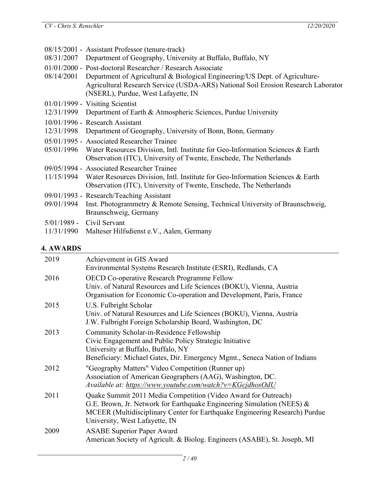| 08/31/2007                  | 08/15/2001 - Assistant Professor (tenure-track)<br>Department of Geography, University at Buffalo, Buffalo, NY                                                                                                                                                         |
|-----------------------------|------------------------------------------------------------------------------------------------------------------------------------------------------------------------------------------------------------------------------------------------------------------------|
| 08/14/2001                  | 01/01/2000 - Post-doctoral Researcher / Research Associate<br>Department of Agricultural & Biological Engineering/US Dept. of Agriculture-<br>Agricultural Research Service (USDA-ARS) National Soil Erosion Research Laborator<br>(NSERL), Purdue, West Lafayette, IN |
| 12/31/1999                  | $01/01/1999$ - Visiting Scientist                                                                                                                                                                                                                                      |
|                             | Department of Earth & Atmospheric Sciences, Purdue University<br>10/01/1996 - Research Assistant                                                                                                                                                                       |
|                             | 12/31/1998 Department of Geography, University of Bonn, Bonn, Germany                                                                                                                                                                                                  |
| 05/01/1996                  | 05/01/1995 - Associated Researcher Trainee<br>Water Resources Division, Intl. Institute for Geo-Information Sciences & Earth<br>Observation (ITC), University of Twente, Enschede, The Netherlands                                                                     |
| 11/15/1994                  | 09/05/1994 - Associated Researcher Trainee<br>Water Resources Division, Intl. Institute for Geo-Information Sciences & Earth<br>Observation (ITC), University of Twente, Enschede, The Netherlands                                                                     |
| 09/01/1994                  | 09/01/1993 - Research/Teaching Assistant<br>Inst. Photogrammetry & Remote Sensing, Technical University of Braunschweig,<br>Braunschweig, Germany                                                                                                                      |
| $5/01/1989$ -<br>11/31/1990 | Civil Servant<br>Malteser Hilfsdienst e.V., Aalen, Germany                                                                                                                                                                                                             |

# **4. AWARDS**

| 2019 | Achievement in GIS Award<br>Environmental Systems Research Institute (ESRI), Redlands, CA                                                                                                                                                                    |
|------|--------------------------------------------------------------------------------------------------------------------------------------------------------------------------------------------------------------------------------------------------------------|
| 2016 | OECD Co-operative Research Programme Fellow<br>Univ. of Natural Resources and Life Sciences (BOKU), Vienna, Austria<br>Organisation for Economic Co-operation and Development, Paris, France                                                                 |
| 2015 | U.S. Fulbright Scholar<br>Univ. of Natural Resources and Life Sciences (BOKU), Vienna, Austria<br>J.W. Fulbright Foreign Scholarship Board, Washington, DC                                                                                                   |
| 2013 | Community Scholar-in-Residence Fellowship<br>Civic Engagement and Public Policy Strategic Initiative<br>University at Buffalo, Buffalo, NY<br>Beneficiary: Michael Gates, Dir. Emergency Mgmt., Seneca Nation of Indians                                     |
| 2012 | "Geography Matters" Video Competition (Runner up)<br>Association of American Geographers (AAG), Washington, DC.<br>Available at: https://www.youtube.com/watch?v=KGcjdhosOdU                                                                                 |
| 2011 | Quake Summit 2011 Media Competition (Video Award for Outreach)<br>G.E. Brown, Jr. Network for Earthquake Engineering Simulation (NEES) $\&$<br>MCEER (Multidisciplinary Center for Earthquake Engineering Research) Purdue<br>University, West Lafayette, IN |
| 2009 | <b>ASABE Superior Paper Award</b><br>American Society of Agricult. & Biolog. Engineers (ASABE), St. Joseph, MI                                                                                                                                               |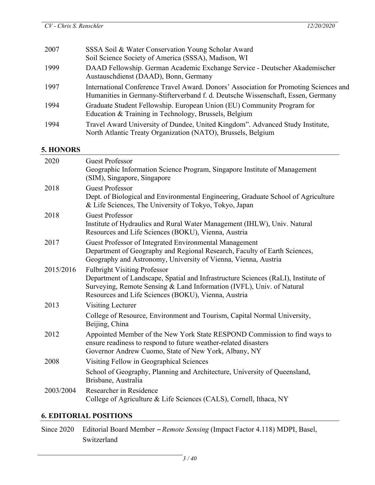| 2007 | SSSA Soil & Water Conservation Young Scholar Award<br>Soil Science Society of America (SSSA), Madison, WI                                                                 |
|------|---------------------------------------------------------------------------------------------------------------------------------------------------------------------------|
| 1999 | DAAD Fellowship. German Academic Exchange Service - Deutscher Akademischer<br>Austauschdienst (DAAD), Bonn, Germany                                                       |
| 1997 | International Conference Travel Award. Donors' Association for Promoting Sciences and<br>Humanities in Germany-Stifterverband f. d. Deutsche Wissenschaft, Essen, Germany |
| 1994 | Graduate Student Fellowship. European Union (EU) Community Program for<br>Education & Training in Technology, Brussels, Belgium                                           |
| 1994 | Travel Award University of Dundee, United Kingdom". Advanced Study Institute,<br>North Atlantic Treaty Organization (NATO), Brussels, Belgium                             |

# **5. HONORS**

| <b>HOTIOHD</b> |                                                                                                                                                                                                                                                          |
|----------------|----------------------------------------------------------------------------------------------------------------------------------------------------------------------------------------------------------------------------------------------------------|
| 2020           | <b>Guest Professor</b><br>Geographic Information Science Program, Singapore Institute of Management<br>(SIM), Singapore, Singapore                                                                                                                       |
| 2018           | <b>Guest Professor</b><br>Dept. of Biological and Environmental Engineering, Graduate School of Agriculture<br>& Life Sciences, The University of Tokyo, Tokyo, Japan                                                                                    |
| 2018           | <b>Guest Professor</b><br>Institute of Hydraulics and Rural Water Management (IHLW), Univ. Natural<br>Resources and Life Sciences (BOKU), Vienna, Austria                                                                                                |
| 2017           | Guest Professor of Integrated Environmental Management<br>Department of Geography and Regional Research, Faculty of Earth Sciences,<br>Geography and Astronomy, University of Vienna, Vienna, Austria                                                    |
| 2015/2016      | <b>Fulbright Visiting Professor</b><br>Department of Landscape, Spatial and Infrastructure Sciences (RaLI), Institute of<br>Surveying, Remote Sensing & Land Information (IVFL), Univ. of Natural<br>Resources and Life Sciences (BOKU), Vienna, Austria |
| 2013           | Visiting Lecturer                                                                                                                                                                                                                                        |
|                | College of Resource, Environment and Tourism, Capital Normal University,<br>Beijing, China                                                                                                                                                               |
| 2012           | Appointed Member of the New York State RESPOND Commission to find ways to<br>ensure readiness to respond to future weather-related disasters<br>Governor Andrew Cuomo, State of New York, Albany, NY                                                     |
| 2008           | Visiting Fellow in Geographical Sciences                                                                                                                                                                                                                 |
|                | School of Geography, Planning and Architecture, University of Queensland,<br>Brisbane, Australia                                                                                                                                                         |
| 2003/2004      | Researcher in Residence<br>College of Agriculture & Life Sciences (CALS), Cornell, Ithaca, NY                                                                                                                                                            |

# **6. EDITORIAL POSITIONS**

Since 2020 Editorial Board Member – *Remote Sensing* (Impact Factor 4.118) MDPI, Basel, Switzerland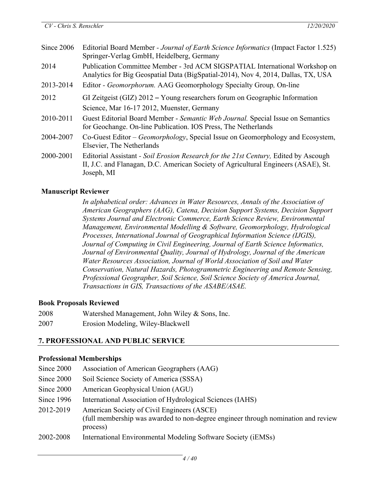| Since 2006 | Editorial Board Member - Journal of Earth Science Informatics (Impact Factor 1.525)<br>Springer-Verlag GmbH, Heidelberg, Germany                                                        |
|------------|-----------------------------------------------------------------------------------------------------------------------------------------------------------------------------------------|
| 2014       | Publication Committee Member - 3rd ACM SIGSPATIAL International Workshop on<br>Analytics for Big Geospatial Data (BigSpatial-2014), Nov 4, 2014, Dallas, TX, USA                        |
| 2013-2014  | Editor - <i>Geomorphorum.</i> AAG Geomorphology Specialty Group, On-line                                                                                                                |
| 2012       | GI Zeitgeist (GIZ) $2012 -$ Young researchers forum on Geographic Information<br>Science, Mar 16-17 2012, Muenster, Germany                                                             |
| 2010-2011  | Guest Editorial Board Member - Semantic Web Journal. Special Issue on Semantics<br>for Geochange. On-line Publication. IOS Press, The Netherlands                                       |
| 2004-2007  | Co-Guest Editor – Geomorphology, Special Issue on Geomorphology and Ecosystem,<br>Elsevier, The Netherlands                                                                             |
| 2000-2001  | Editorial Assistant - Soil Erosion Research for the 21st Century, Edited by Ascough<br>II, J.C. and Flanagan, D.C. American Society of Agricultural Engineers (ASAE), St.<br>Joseph, MI |

### **Manuscript Reviewer**

*In alphabetical order: Advances in Water Resources, Annals of the Association of American Geographers (AAG), Catena, Decision Support Systems, Decision Support Systems Journal and Electronic Commerce, Earth Science Review, Environmental Management, Environmental Modelling & Software, Geomorphology, Hydrological Processes, International Journal of Geographical Information Science (IJGIS), Journal of Computing in Civil Engineering, Journal of Earth Science Informatics, Journal of Environmental Quality, Journal of Hydrology, Journal of the American Water Resources Association, Journal of World Association of Soil and Water Conservation, Natural Hazards, Photogrammetric Engineering and Remote Sensing, Professional Geographer, Soil Science, Soil Science Society of America Journal, Transactions in GIS, Transactions of the ASABE/ASAE.*

### **Book Proposals Reviewed**

- 2008 Watershed Management, John Wiley & Sons, Inc.
- 2007 Erosion Modeling, Wiley-Blackwell

# **7. PROFESSIONAL AND PUBLIC SERVICE**

### **Professional Memberships**

| Since 2000 | Association of American Geographers (AAG)                                                                                                   |
|------------|---------------------------------------------------------------------------------------------------------------------------------------------|
| Since 2000 | Soil Science Society of America (SSSA)                                                                                                      |
| Since 2000 | American Geophysical Union (AGU)                                                                                                            |
| Since 1996 | International Association of Hydrological Sciences (IAHS)                                                                                   |
| 2012-2019  | American Society of Civil Engineers (ASCE)<br>(full membership was awarded to non-degree engineer through nomination and review<br>process) |
| 2002-2008  | International Environmental Modeling Software Society (iEMSs)                                                                               |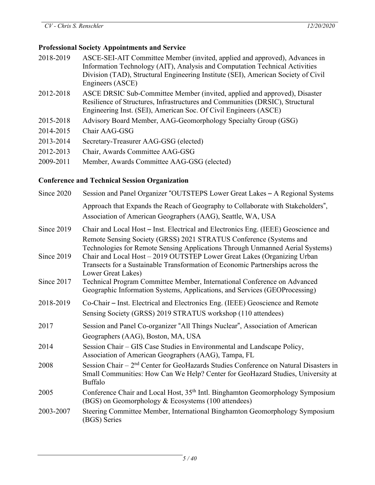### **Professional Society Appointments and Service**

- 2018-2019 ASCE-SEI-AIT Committee Member (invited, applied and approved), Advances in Information Technology (AIT), Analysis and Computation Technical Activities Division (TAD), Structural Engineering Institute (SEI), American Society of Civil Engineers (ASCE)
- 2012-2018 ASCE DRSIC Sub-Committee Member (invited, applied and approved), Disaster Resilience of Structures, Infrastructures and Communities (DRSIC), Structural Engineering Inst. (SEI), American Soc. Of Civil Engineers (ASCE)
- 2015-2018 Advisory Board Member, AAG-Geomorphology Specialty Group (GSG)
- 2014-2015 Chair AAG-GSG
- 2013-2014 Secretary-Treasurer AAG-GSG (elected)
- 2012-2013 Chair, Awards Committee AAG-GSG
- 2009-2011 Member, Awards Committee AAG-GSG (elected)

# **Conference and Technical Session Organization**

| Since 2020 | Session and Panel Organizer "OUTSTEPS Lower Great Lakes - A Regional Systems                                                                                                                                                                                                                                     |
|------------|------------------------------------------------------------------------------------------------------------------------------------------------------------------------------------------------------------------------------------------------------------------------------------------------------------------|
|            | Approach that Expands the Reach of Geography to Collaborate with Stakeholders",<br>Association of American Geographers (AAG), Seattle, WA, USA                                                                                                                                                                   |
| Since 2019 | Chair and Local Host - Inst. Electrical and Electronics Eng. (IEEE) Geoscience and                                                                                                                                                                                                                               |
| Since 2019 | Remote Sensing Society (GRSS) 2021 STRATUS Conference (Systems and<br>Technologies for Remote Sensing Applications Through Unmanned Aerial Systems)<br>Chair and Local Host - 2019 OUTSTEP Lower Great Lakes (Organizing Urban<br>Transects for a Sustainable Transformation of Economic Partnerships across the |
| Since 2017 | Lower Great Lakes)<br>Technical Program Committee Member, International Conference on Advanced<br>Geographic Information Systems, Applications, and Services (GEOProcessing)                                                                                                                                     |
| 2018-2019  | Co-Chair – Inst. Electrical and Electronics Eng. (IEEE) Geoscience and Remote<br>Sensing Society (GRSS) 2019 STRATUS workshop (110 attendees)                                                                                                                                                                    |
| 2017       | Session and Panel Co-organizer "All Things Nuclear", Association of American<br>Geographers (AAG), Boston, MA, USA                                                                                                                                                                                               |
| 2014       | Session Chair – GIS Case Studies in Environmental and Landscape Policy,<br>Association of American Geographers (AAG), Tampa, FL                                                                                                                                                                                  |
| 2008       | Session Chair - 2 <sup>nd</sup> Center for GeoHazards Studies Conference on Natural Disasters in<br>Small Communities: How Can We Help? Center for GeoHazard Studies, University at<br><b>Buffalo</b>                                                                                                            |
| 2005       | Conference Chair and Local Host, 35 <sup>th</sup> Intl. Binghamton Geomorphology Symposium<br>(BGS) on Geomorphology & Ecosystems (100 attendees)                                                                                                                                                                |
| 2003-2007  | Steering Committee Member, International Binghamton Geomorphology Symposium<br>(BGS) Series                                                                                                                                                                                                                      |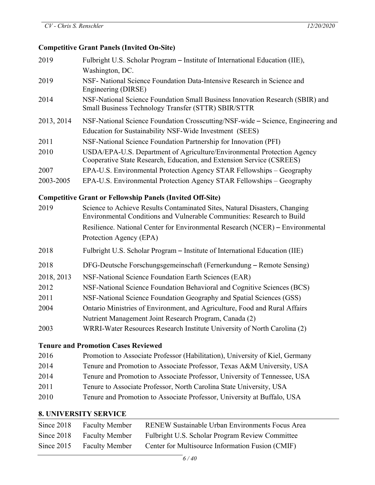### **Competitive Grant Panels (Invited On-Site)**

| 2019                                                             | Fulbright U.S. Scholar Program - Institute of International Education (IIE),                                                                         |  |
|------------------------------------------------------------------|------------------------------------------------------------------------------------------------------------------------------------------------------|--|
|                                                                  | Washington, DC.                                                                                                                                      |  |
| 2019                                                             | NSF- National Science Foundation Data-Intensive Research in Science and<br>Engineering (DIRSE)                                                       |  |
| 2014                                                             | NSF-National Science Foundation Small Business Innovation Research (SBIR) and<br>Small Business Technology Transfer (STTR) SBIR/STTR                 |  |
| 2013, 2014                                                       | NSF-National Science Foundation Crosscutting/NSF-wide – Science, Engineering and                                                                     |  |
|                                                                  | Education for Sustainability NSF-Wide Investment (SEES)                                                                                              |  |
| 2011                                                             | NSF-National Science Foundation Partnership for Innovation (PFI)                                                                                     |  |
| 2010                                                             | USDA/EPA-U.S. Department of Agriculture/Environmental Protection Agency<br>Cooperative State Research, Education, and Extension Service (CSREES)     |  |
| 2007                                                             | EPA-U.S. Environmental Protection Agency STAR Fellowships - Geography                                                                                |  |
| 2003-2005                                                        | EPA-U.S. Environmental Protection Agency STAR Fellowships - Geography                                                                                |  |
| <b>Competitive Grant or Fellowship Panels (Invited Off-Site)</b> |                                                                                                                                                      |  |
| 2019                                                             | Science to Achieve Results Contaminated Sites, Natural Disasters, Changing<br>Environmental Conditions and Vulnerable Communities: Research to Build |  |
|                                                                  | Resilience. National Center for Environmental Research (NCER) – Environmental                                                                        |  |
|                                                                  | Protection Agency (EPA)                                                                                                                              |  |
| 2018                                                             | Fulbright U.S. Scholar Program – Institute of International Education (IIE)                                                                          |  |
| 2018                                                             | DFG-Deutsche Forschungsgemeinschaft (Fernerkundung – Remote Sensing)                                                                                 |  |
| 2018, 2013                                                       | NSF-National Science Foundation Earth Sciences (EAR)                                                                                                 |  |
| 2012                                                             | NSF-National Science Foundation Behavioral and Cognitive Sciences (BCS)                                                                              |  |
| 2011                                                             | NSF-National Science Foundation Geography and Spatial Sciences (GSS)                                                                                 |  |
| 2004                                                             | Ontario Ministries of Environment, and Agriculture, Food and Rural Affairs                                                                           |  |
|                                                                  | Nutrient Management Joint Research Program, Canada (2)                                                                                               |  |
|                                                                  |                                                                                                                                                      |  |

2003 WRRI-Water Resources Research Institute University of North Carolina (2)

# **Tenure and Promotion Cases Reviewed**

| 2016 | Promotion to Associate Professor (Habilitation), University of Kiel, Germany |
|------|------------------------------------------------------------------------------|
| 2014 | Tenure and Promotion to Associate Professor, Texas A&M University, USA       |
| 2014 | Tenure and Promotion to Associate Professor, University of Tennessee, USA    |
| 2011 | Tenure to Associate Professor, North Carolina State University, USA          |
| 2010 | Tenure and Promotion to Associate Professor, University at Buffalo, USA      |

### **8. UNIVERSITY SERVICE**

| Since $2018$ | <b>Faculty Member</b>     | RENEW Sustainable Urban Environments Focus Area  |
|--------------|---------------------------|--------------------------------------------------|
|              | Since 2018 Faculty Member | Fulbright U.S. Scholar Program Review Committee  |
|              | Since 2015 Faculty Member | Center for Multisource Information Fusion (CMIF) |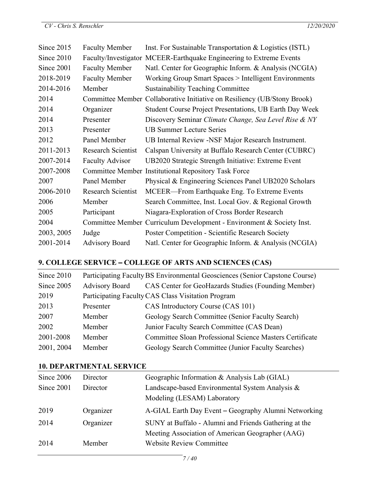| Since $2015$ | <b>Faculty Member</b>     | Inst. For Sustainable Transportation & Logistics (ISTL)                  |
|--------------|---------------------------|--------------------------------------------------------------------------|
| Since 2010   |                           | Faculty/Investigator MCEER-Earthquake Engineering to Extreme Events      |
| Since 2001   | <b>Faculty Member</b>     | Natl. Center for Geographic Inform. & Analysis (NCGIA)                   |
| 2018-2019    | <b>Faculty Member</b>     | Working Group Smart Spaces > Intelligent Environments                    |
| 2014-2016    | Member                    | <b>Sustainability Teaching Committee</b>                                 |
| 2014         |                           | Committee Member Collaborative Initiative on Resiliency (UB/Stony Brook) |
| 2014         | Organizer                 | Student Course Project Presentations, UB Earth Day Week                  |
| 2014         | Presenter                 | Discovery Seminar Climate Change, Sea Level Rise & NY                    |
| 2013         | Presenter                 | <b>UB Summer Lecture Series</b>                                          |
| 2012         | Panel Member              | UB Internal Review -NSF Major Research Instrument.                       |
| 2011-2013    | <b>Research Scientist</b> | Calspan University at Buffalo Research Center (CUBRC)                    |
| 2007-2014    | <b>Faculty Advisor</b>    | UB2020 Strategic Strength Initiative: Extreme Event                      |
| 2007-2008    |                           | Committee Member Institutional Repository Task Force                     |
| 2007         | Panel Member              | Physical & Engineering Sciences Panel UB2020 Scholars                    |
| 2006-2010    | <b>Research Scientist</b> | MCEER—From Earthquake Eng. To Extreme Events                             |
| 2006         | Member                    | Search Committee, Inst. Local Gov. & Regional Growth                     |
| 2005         | Participant               | Niagara-Exploration of Cross Border Research                             |
| 2004         |                           | Committee Member Curriculum Development - Environment & Society Inst.    |
| 2003, 2005   | Judge                     | <b>Poster Competition - Scientific Research Society</b>                  |
| 2001-2014    | <b>Advisory Board</b>     | Natl. Center for Geographic Inform. & Analysis (NCGIA)                   |

# **9. COLLEGE SERVICE** – **COLLEGE OF ARTS AND SCIENCES (CAS)**

| Since 2010 | Participating Faculty BS Environmental Geosciences (Senior Capstone Course) |                                                          |  |
|------------|-----------------------------------------------------------------------------|----------------------------------------------------------|--|
| Since 2005 | <b>Advisory Board</b>                                                       | CAS Center for GeoHazards Studies (Founding Member)      |  |
| 2019       |                                                                             | Participating Faculty CAS Class Visitation Program       |  |
| 2013       | Presenter                                                                   | CAS Introductory Course (CAS 101)                        |  |
| 2007       | Member                                                                      | Geology Search Committee (Senior Faculty Search)         |  |
| 2002       | Member                                                                      | Junior Faculty Search Committee (CAS Dean)               |  |
| 2001-2008  | Member                                                                      | Committee Sloan Professional Science Masters Certificate |  |
| 2001, 2004 | Member                                                                      | Geology Search Committee (Junior Faculty Searches)       |  |

#### **10. DEPARTMENTAL SERVICE**

| Since 2006 | Director  | Geographic Information & Analysis Lab (GIAL)          |  |
|------------|-----------|-------------------------------------------------------|--|
| Since 2001 | Director  | Landscape-based Environmental System Analysis &       |  |
|            |           | Modeling (LESAM) Laboratory                           |  |
| 2019       | Organizer | A-GIAL Earth Day Event - Geography Alumni Networking  |  |
| 2014       | Organizer | SUNY at Buffalo - Alumni and Friends Gathering at the |  |
|            |           | Meeting Association of American Geographer (AAG)      |  |
| 2014       | Member    | <b>Website Review Committee</b>                       |  |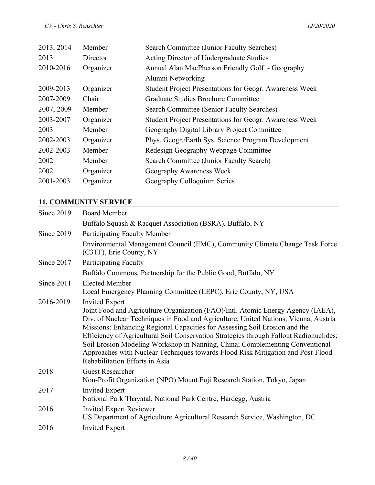| 2013, 2014 | Member    | Search Committee (Junior Faculty Searches)                     |  |
|------------|-----------|----------------------------------------------------------------|--|
| 2013       | Director  | Acting Director of Undergraduate Studies                       |  |
| 2010-2016  | Organizer | Annual Alan MacPherson Friendly Golf - Geography               |  |
|            |           | Alumni Networking                                              |  |
| 2009-2013  | Organizer | Student Project Presentations for Geogr. Awareness Week        |  |
| 2007-2009  | Chair     | Graduate Studies Brochure Committee                            |  |
| 2007, 2009 | Member    | Search Committee (Senior Faculty Searches)                     |  |
| 2003-2007  | Organizer | <b>Student Project Presentations for Geogr. Awareness Week</b> |  |
| 2003       | Member    | Geography Digital Library Project Committee                    |  |
| 2002-2003  | Organizer | Phys. Geogr./Earth Sys. Science Program Development            |  |
| 2002-2003  | Member    | Redesign Geography Webpage Committee                           |  |
| 2002       | Member    | Search Committee (Junior Faculty Search)                       |  |
| 2002       | Organizer | Geography Awareness Week                                       |  |
| 2001-2003  | Organizer | Geography Colloquium Series                                    |  |

# **11. COMMUNITY SERVICE**

| Since 2019 | <b>Board Member</b>                                                                                                                                                                                                                                                                                                                                                                                                                                                                                                                                                           |
|------------|-------------------------------------------------------------------------------------------------------------------------------------------------------------------------------------------------------------------------------------------------------------------------------------------------------------------------------------------------------------------------------------------------------------------------------------------------------------------------------------------------------------------------------------------------------------------------------|
|            | Buffalo Squash & Racquet Association (BSRA), Buffalo, NY                                                                                                                                                                                                                                                                                                                                                                                                                                                                                                                      |
| Since 2019 | <b>Participating Faculty Member</b>                                                                                                                                                                                                                                                                                                                                                                                                                                                                                                                                           |
|            | Environmental Management Council (EMC), Community Climate Change Task Force<br>(C3TF), Erie County, NY                                                                                                                                                                                                                                                                                                                                                                                                                                                                        |
| Since 2017 | <b>Participating Faculty</b>                                                                                                                                                                                                                                                                                                                                                                                                                                                                                                                                                  |
|            | Buffalo Commons, Partnership for the Public Good, Buffalo, NY                                                                                                                                                                                                                                                                                                                                                                                                                                                                                                                 |
| Since 2011 | <b>Elected Member</b><br>Local Emergency Planning Committee (LEPC), Erie County, NY, USA                                                                                                                                                                                                                                                                                                                                                                                                                                                                                      |
| 2016-2019  | <b>Invited Expert</b><br>Joint Food and Agriculture Organization (FAO)/Intl. Atomic Energy Agency (IAEA),<br>Div. of Nuclear Techniques in Food and Agriculture, United Nations, Vienna, Austria<br>Missions: Enhancing Regional Capacities for Assessing Soil Erosion and the<br>Efficiency of Agricultural Soil Conservation Strategies through Fallout Radionuclides;<br>Soil Erosion Modeling Workshop in Nanning, China; Complementing Conventional<br>Approaches with Nuclear Techniques towards Flood Risk Mitigation and Post-Flood<br>Rehabilitation Efforts in Asia |
| 2018       | <b>Guest Researcher</b><br>Non-Profit Organization (NPO) Mount Fuji Research Station, Tokyo, Japan                                                                                                                                                                                                                                                                                                                                                                                                                                                                            |
| 2017       | <b>Invited Expert</b><br>National Park Thayatal, National Park Centre, Hardegg, Austria                                                                                                                                                                                                                                                                                                                                                                                                                                                                                       |
| 2016       | <b>Invited Expert Reviewer</b><br>US Department of Agriculture Agricultural Research Service, Washington, DC                                                                                                                                                                                                                                                                                                                                                                                                                                                                  |
| 2016       | <b>Invited Expert</b>                                                                                                                                                                                                                                                                                                                                                                                                                                                                                                                                                         |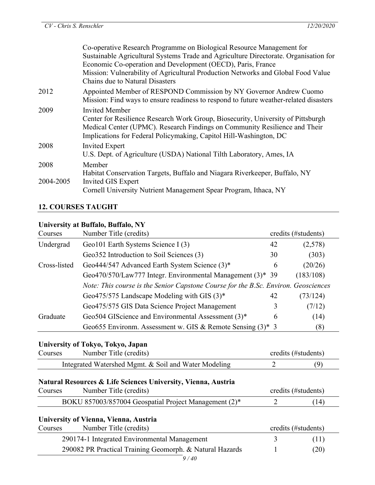|           | Co-operative Research Programme on Biological Resource Management for                                                                                                                                                                |
|-----------|--------------------------------------------------------------------------------------------------------------------------------------------------------------------------------------------------------------------------------------|
|           | Sustainable Agricultural Systems Trade and Agriculture Directorate. Organisation for                                                                                                                                                 |
|           | Economic Co-operation and Development (OECD), Paris, France                                                                                                                                                                          |
|           | Mission: Vulnerability of Agricultural Production Networks and Global Food Value                                                                                                                                                     |
|           | Chains due to Natural Disasters                                                                                                                                                                                                      |
| 2012      | Appointed Member of RESPOND Commission by NY Governor Andrew Cuomo<br>Mission: Find ways to ensure readiness to respond to future weather-related disasters                                                                          |
| 2009      | <b>Invited Member</b>                                                                                                                                                                                                                |
|           | Center for Resilience Research Work Group, Biosecurity, University of Pittsburgh<br>Medical Center (UPMC). Research Findings on Community Resilience and Their<br>Implications for Federal Policymaking, Capitol Hill-Washington, DC |
| 2008      | <b>Invited Expert</b>                                                                                                                                                                                                                |
|           | U.S. Dept. of Agriculture (USDA) National Tilth Laboratory, Ames, IA                                                                                                                                                                 |
| 2008      | Member                                                                                                                                                                                                                               |
|           | Habitat Conservation Targets, Buffalo and Niagara Riverkeeper, Buffalo, NY                                                                                                                                                           |
| 2004-2005 | Invited GIS Expert                                                                                                                                                                                                                   |
|           | Cornell University Nutrient Management Spear Program, Ithaca, NY                                                                                                                                                                     |
|           |                                                                                                                                                                                                                                      |

#### **12. COURSES TAUGHT**

#### **University at Buffalo, Buffalo, NY**

| Courses      | Number Title (credits)                                                             |    | credits (#students) |
|--------------|------------------------------------------------------------------------------------|----|---------------------|
| Undergrad    | Geo101 Earth Systems Science I (3)                                                 | 42 | (2,578)             |
|              | Geo352 Introduction to Soil Sciences (3)                                           | 30 | (303)               |
| Cross-listed | Geo444/547 Advanced Earth System Science (3)*                                      | 6  | (20/26)             |
|              | Geo470/570/Law777 Integr. Environmental Management (3)* 39                         |    | (183/108)           |
|              | Note: This course is the Senior Capstone Course for the B.Sc. Environ. Geosciences |    |                     |
|              | Geo475/575 Landscape Modeling with GIS $(3)^*$                                     | 42 | (73/124)            |
|              | Geo475/575 GIS Data Science Project Management                                     |    | (7/12)              |
| Graduate     | Geo504 GIScience and Environmental Assessment (3)*                                 | 6  | (14)                |
|              | Geo655 Environm. Assessment w. GIS & Remote Sensing $(3)^*$ 3                      |    | (8)                 |

### **University of Tokyo, Tokyo, Japan**

| Number Title (credits)<br>Courses |                                                      | credits (#students) |  |
|-----------------------------------|------------------------------------------------------|---------------------|--|
|                                   | Integrated Watershed Mgmt. & Soil and Water Modeling |                     |  |

#### **Natural Resources & Life Sciences University, Vienna, Austria**

| Courses | Number Title (credits)                                | credits (#students) |
|---------|-------------------------------------------------------|---------------------|
|         | BOKU 857003/857004 Geospatial Project Management (2)* |                     |
|         |                                                       |                     |

### **University of Vienna, Vienna, Austria**

| Courses | Number Title (credits)                                   |  | credits (#students) |  |
|---------|----------------------------------------------------------|--|---------------------|--|
|         | 290174-1 Integrated Environmental Management             |  | (11)                |  |
|         | 290082 PR Practical Training Geomorph. & Natural Hazards |  | (20)                |  |
|         |                                                          |  |                     |  |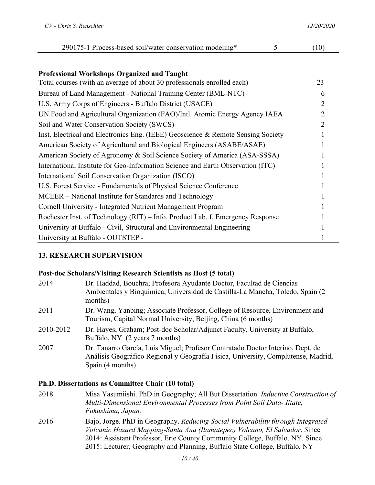| $CV$ - Chris S. Renschler                                                                                                     |   | 12/20/2020     |
|-------------------------------------------------------------------------------------------------------------------------------|---|----------------|
| 290175-1 Process-based soil/water conservation modeling*                                                                      | 5 | (10)           |
| <b>Professional Workshops Organized and Taught</b><br>Total courses (with an average of about 30 professionals enrolled each) |   | 23             |
| Bureau of Land Management - National Training Center (BML-NTC)                                                                |   | 6              |
| U.S. Army Corps of Engineers - Buffalo District (USACE)                                                                       |   | $\overline{2}$ |
| UN Food and Agricultural Organization (FAO)/Intl. Atomic Energy Agency IAEA                                                   |   | 2              |
| Soil and Water Conservation Society (SWCS)                                                                                    |   |                |
| Inst. Electrical and Electronics Eng. (IEEE) Geoscience & Remote Sensing Society                                              |   |                |
| American Society of Agricultural and Biological Engineers (ASABE/ASAE)                                                        |   |                |
| American Society of Agronomy & Soil Science Society of America (ASA-SSSA)                                                     |   |                |
| International Institute for Geo-Information Science and Earth Observation (ITC)                                               |   |                |
| International Soil Conservation Organization (ISCO)                                                                           |   |                |
| U.S. Forest Service - Fundamentals of Physical Science Conference                                                             |   |                |
| MCEER – National Institute for Standards and Technology                                                                       |   |                |
| Cornell University - Integrated Nutrient Management Program                                                                   |   |                |
| Rochester Inst. of Technology (RIT) - Info. Product Lab. f. Emergency Response                                                |   |                |
| University at Buffalo - Civil, Structural and Environmental Engineering                                                       |   |                |
| University at Buffalo - OUTSTEP -                                                                                             |   |                |

### **13. RESEARCH SUPERVISION**

### **Post-doc Scholars/Visiting Research Scientists as Host (5 total)**

| Dr. Haddad, Bouchra; Profesora Ayudante Doctor, Facultad de Ciencias<br>Ambientales y Bioquímica, Universidad de Castilla-La Mancha, Toledo, Spain (2)<br>months)                       |
|-----------------------------------------------------------------------------------------------------------------------------------------------------------------------------------------|
| Dr. Wang, Yanbing; Associate Professor, College of Resource, Environment and<br>Tourism, Capital Normal University, Beijing, China (6 months)                                           |
| Dr. Hayes, Graham; Post-doc Scholar/Adjunct Faculty, University at Buffalo,<br>Buffalo, NY (2 years 7 months)                                                                           |
| Dr. Tanarro García, Luis Miguel; Profesor Contratado Doctor Interino, Dept. de<br>Análisis Geográfico Regional y Geografía Física, University, Complutense, Madrid,<br>Spain (4 months) |
|                                                                                                                                                                                         |

# **Ph.D. Dissertations as Committee Chair (10 total)**

| 2018 | Misa Yasumiishi. PhD in Geography; All But Dissertation. <i>Inductive Construction of</i><br>Multi-Dimensional Environmental Processes from Point Soil Data-Iitate,<br>Fukushima, Japan.                                                                                                                                    |
|------|-----------------------------------------------------------------------------------------------------------------------------------------------------------------------------------------------------------------------------------------------------------------------------------------------------------------------------|
| 2016 | Bajo, Jorge. PhD in Geography. Reducing Social Vulnerability through Integrated<br>Volcanic Hazard Mapping-Santa Ana (Ilamatepec) Volcano, El Salvador. Since<br>2014: Assistant Professor, Erie County Community College, Buffalo, NY. Since<br>2015: Lecturer, Geography and Planning, Buffalo State College, Buffalo, NY |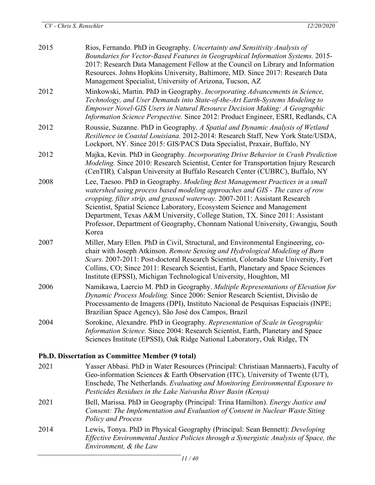| 2015                                             | Rios, Fernando. PhD in Geography. Uncertainty and Sensitivity Analysis of<br>Boundaries for Vector-Based Features in Geographical Information Systems. 2015-<br>2017: Research Data Management Fellow at the Council on Library and Information<br>Resources. Johns Hopkins University, Baltimore, MD. Since 2017: Research Data<br>Management Specialist, University of Arizona, Tucson, AZ                                                                                                       |
|--------------------------------------------------|----------------------------------------------------------------------------------------------------------------------------------------------------------------------------------------------------------------------------------------------------------------------------------------------------------------------------------------------------------------------------------------------------------------------------------------------------------------------------------------------------|
| 2012                                             | Minkowski, Martin. PhD in Geography. Incorporating Advancements in Science,<br>Technology, and User Demands into State-of-the-Art Earth-Systems Modeling to<br>Empower Novel-GIS Users in Natural Resource Decision Making: A Geographic<br>Information Science Perspective. Since 2012: Product Engineer, ESRI, Redlands, CA                                                                                                                                                                      |
| 2012                                             | Roussie, Suzanne. PhD in Geography. A Spatial and Dynamic Analysis of Wetland<br>Resilience in Coastal Louisiana. 2012-2014: Research Staff, New York State/USDA,<br>Lockport, NY. Since 2015: GIS/PACS Data Specialist, Praxair, Buffalo, NY                                                                                                                                                                                                                                                      |
| 2012                                             | Majka, Kevin. PhD in Geography. Incorporating Drive Behavior in Crash Prediction<br>Modeling. Since 2010: Research Scientist, Center for Transportation Injury Research<br>(CenTIR), Calspan University at Buffalo Research Center (CUBRC), Buffalo, NY                                                                                                                                                                                                                                            |
| 2008                                             | Lee, Taesoo. PhD in Geography. Modeling Best Management Practices in a small<br>watershed using process based modeling approaches and GIS - The cases of row<br>cropping, filter strip, and grassed waterway. 2007-2011: Assistant Research<br>Scientist, Spatial Science Laboratory, Ecosystem Science and Management<br>Department, Texas A&M University, College Station, TX. Since 2011: Assistant<br>Professor, Department of Geography, Chonnam National University, Gwangju, South<br>Korea |
| 2007                                             | Miller, Mary Ellen. PhD in Civil, Structural, and Environmental Engineering, co-<br>chair with Joseph Atkinson. Remote Sensing and Hydrological Modeling of Burn<br>Scars. 2007-2011: Post-doctoral Research Scientist, Colorado State University, Fort<br>Collins, CO; Since 2011: Research Scientist, Earth, Planetary and Space Sciences<br>Institute (EPSSI), Michigan Technological University, Houghton, MI                                                                                  |
| 2006                                             | Namikawa, Laercio M. PhD in Geography. Multiple Representations of Elevation for<br>Dynamic Process Modeling. Since 2006: Senior Research Scientist, Divisão de<br>Processamento de Imagens (DPI), Instituto Nacional de Pesquisas Espaciais (INPE;<br>Brazilian Space Agency), São José dos Campos, Brazil                                                                                                                                                                                        |
| 2004                                             | Sorokine, Alexandre. PhD in Geography. Representation of Scale in Geographic<br>Information Science. Since 2004: Research Scientist, Earth, Planetary and Space<br>Sciences Institute (EPSSI), Oak Ridge National Laboratory, Oak Ridge, TN                                                                                                                                                                                                                                                        |
| Ph.D. Dissertation as Committee Member (9 total) |                                                                                                                                                                                                                                                                                                                                                                                                                                                                                                    |
| 2021                                             | Yasser Abbasi. PhD in Water Resources (Principal: Christiaan Mannaerts), Faculty of<br>Geo-information Sciences & Earth Observation (ITC), University of Twente (UT),<br>Enschede, The Netherlands. Evaluating and Monitoring Environmental Exposure to<br>Pesticides Residues in the Lake Naivasha River Basin (Kenya)                                                                                                                                                                            |

- 2021 Bell, Marissa. PhD in Geography (Principal: Trina Hamilton). *Energy Justice and Consent: The Implementation and Evaluation of Consent in Nuclear Waste Siting Policy and Process*
- 2014 Lewis, Tonya. PhD in Physical Geography (Principal: Sean Bennett): *Developing Effective Environmental Justice Policies through a Synergistic Analysis of Space, the Environment, & the Law*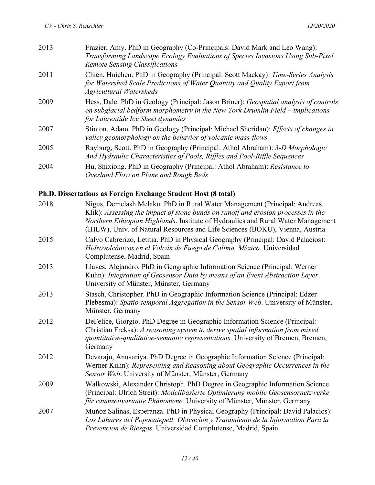| 2013 | Frazier, Amy. PhD in Geography (Co-Principals: David Mark and Leo Wang):<br>Transforming Landscape Ecology Evaluations of Species Invasions Using Sub-Pixel<br><b>Remote Sensing Classifications</b>         |
|------|--------------------------------------------------------------------------------------------------------------------------------------------------------------------------------------------------------------|
| 2011 | Chien, Huichen. PhD in Geography (Principal: Scott Mackay): Time-Series Analysis<br>for Watershed Scale Predictions of Water Quantity and Quality Export from<br><b>Agricultural Watersheds</b>              |
| 2009 | Hess, Dale. PhD in Geology (Principal: Jason Briner): Geospatial analysis of controls<br>on subglacial bedform morphometry in the New York Drumlin Field – implications<br>for Laurentide Ice Sheet dynamics |
| 2007 | Stinton, Adam. PhD in Geology (Principal: Michael Sheridan): Effects of changes in<br>valley geomorphology on the behavior of volcanic mass-flows                                                            |
| 2005 | Rayburg, Scott. PhD in Geography (Principal: Athol Abraham): 3-D Morphologic<br>And Hydraulic Characteristics of Pools, Riffles and Pool-Riffle Sequences                                                    |
| 2004 | Hu, Shixiong. PhD in Geography (Principal: Athol Abraham): Resistance to<br>Overland Flow on Plane and Rough Beds                                                                                            |

# **Ph.D. Dissertations as Foreign Exchange Student Host (8 total)**

| 2018 | Nigus, Demelash Melaku. PhD in Rural Water Management (Principal: Andreas<br>Klik): Assessing the impact of stone bunds on runoff and erosion processes in the<br>Northern Ethiopian Highlands. Institute of Hydraulics and Rural Water Management<br>(IHLW), Univ. of Natural Resources and Life Sciences (BOKU), Vienna, Austria |
|------|------------------------------------------------------------------------------------------------------------------------------------------------------------------------------------------------------------------------------------------------------------------------------------------------------------------------------------|
| 2015 | Calvo Cabrerizo, Letitia. PhD in Physical Geography (Principal: David Palacios):<br>Hidrovolcánicos en el Volcán de Fuego de Colima, México. Universidad<br>Complutense, Madrid, Spain                                                                                                                                             |
| 2013 | Llaves, Alejandro. PhD in Geographic Information Science (Principal: Werner<br>Kuhn): Integration of Geosensor Data by means of an Event Abstraction Layer.<br>University of Münster, Münster, Germany                                                                                                                             |
| 2013 | Stasch, Christopher. PhD in Geographic Information Science (Principal: Edzer<br>Plebesma): Spatio-temporal Aggregation in the Sensor Web. University of Münster,<br>Münster, Germany                                                                                                                                               |
| 2012 | DeFelice, Giorgio. PhD Degree in Geographic Information Science (Principal:<br>Christian Freksa): A reasoning system to derive spatial information from mixed<br>quantitative-qualitative-semantic representations. University of Bremen, Bremen,<br>Germany                                                                       |
| 2012 | Devaraju, Anusuriya. PhD Degree in Geographic Information Science (Principal:<br>Werner Kuhn): Representing and Reasoning about Geographic Occurrences in the<br>Sensor Web. University of Münster, Münster, Germany                                                                                                               |
| 2009 | Walkowski, Alexander Christoph. PhD Degree in Geographic Information Science<br>(Principal: Ulrich Streit): Modellbasierte Optimierung mobile Geosensornetzwerke<br>für raumzeitvariante Phänomene. University of Münster, Münster, Germany                                                                                        |
| 2007 | Muñoz Salinas, Esperanza. PhD in Physical Geography (Principal: David Palacios):<br>Los Lahares del Popocatepetl: Obtencion y Tratamiento de la Information Para la<br>Prevencion de Riesgos. Universidad Complutense, Madrid, Spain                                                                                               |
|      |                                                                                                                                                                                                                                                                                                                                    |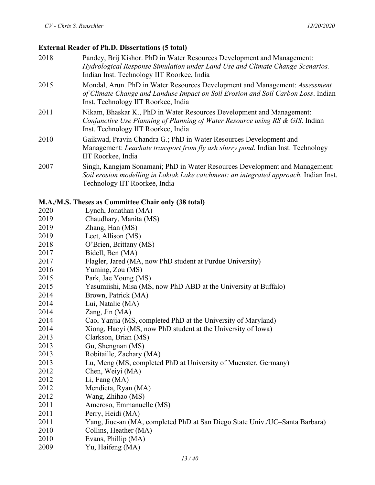#### **External Reader of Ph.D. Dissertations (5 total)**

 Pandey, Brij Kishor. PhD in Water Resources Development and Management: *Hydrological Response Simulation under Land Use and Climate Change Scenarios.* Indian Inst. Technology IIT Roorkee, India Mondal, Arun. PhD in Water Resources Development and Management: *Assessment of Climate Change and Landuse Impact on Soil Erosion and Soil Carbon Loss*. Indian Inst. Technology IIT Roorkee, India Nikam, Bhaskar K., PhD in Water Resources Development and Management: *Conjunctive Use Planning of Planning of Water Resource using RS & GIS*. Indian Inst. Technology IIT Roorkee, India Gaikwad, Pravin Chandra G.; PhD in Water Resources Development and Management: *Leachate transport from fly ash slurry pond*. Indian Inst. Technology IIT Roorkee, India Singh, Kangjam Sonamani; PhD in Water Resources Development and Management: *Soil erosion modelling in Loktak Lake catchment: an integrated approach.* Indian Inst.

#### **M.A./M.S. Theses as Committee Chair only (38 total)**

Technology IIT Roorkee, India

| 2020 | Lynch, Jonathan (MA)                                                        |
|------|-----------------------------------------------------------------------------|
| 2019 | Chaudhary, Manita (MS)                                                      |
| 2019 | Zhang, Han (MS)                                                             |
| 2019 | Leet, Allison (MS)                                                          |
| 2018 | O'Brien, Brittany (MS)                                                      |
| 2017 | Bidell, Ben (MA)                                                            |
| 2017 | Flagler, Jared (MA, now PhD student at Purdue University)                   |
| 2016 | Yuming, Zou (MS)                                                            |
| 2015 | Park, Jae Young (MS)                                                        |
| 2015 | Yasumiishi, Misa (MS, now PhD ABD at the University at Buffalo)             |
| 2014 | Brown, Patrick (MA)                                                         |
| 2014 | Lui, Natalie (MA)                                                           |
| 2014 | Zang, Jin $(MA)$                                                            |
| 2014 | Cao, Yanjia (MS, completed PhD at the University of Maryland)               |
| 2014 | Xiong, Haoyi (MS, now PhD student at the University of Iowa)                |
| 2013 | Clarkson, Brian (MS)                                                        |
| 2013 | Gu, Shengnan (MS)                                                           |
| 2013 | Robitaille, Zachary (MA)                                                    |
| 2013 | Lu, Meng (MS, completed PhD at University of Muenster, Germany)             |
| 2012 | Chen, Weiyi (MA)                                                            |
| 2012 | Li, Fang (MA)                                                               |
| 2012 | Mendieta, Ryan (MA)                                                         |
| 2012 | Wang, Zhihao (MS)                                                           |
| 2011 | Ameroso, Emmanuelle (MS)                                                    |
| 2011 | Perry, Heidi (MA)                                                           |
| 2011 | Yang, Jiue-an (MA, completed PhD at San Diego State Univ./UC-Santa Barbara) |
| 2010 | Collins, Heather (MA)                                                       |
| 2010 | Evans, Phillip (MA)                                                         |
| 2009 | Yu, Haifeng (MA)                                                            |
|      |                                                                             |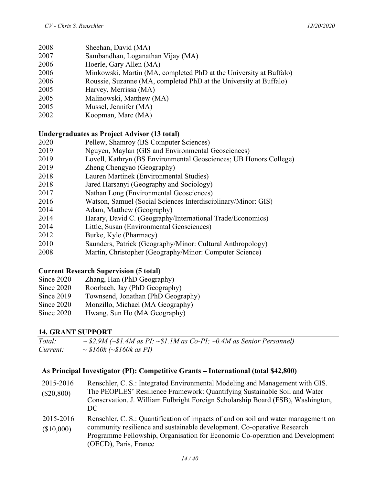- 2008 Sheehan, David (MA)
- 2007 Sambandhan, Loganathan Vijay (MA)
- 2006 Hoerle, Gary Allen (MA)
- 2006 Minkowski, Martin (MA, completed PhD at the University at Buffalo)
- 2006 Roussie, Suzanne (MA, completed PhD at the University at Buffalo)
- 2005 Harvey, Merrissa (MA)
- 2005 Malinowski, Matthew (MA)
- 2005 Mussel, Jennifer (MA)
- 2002 Koopman, Marc (MA)

# **Undergraduates as Project Advisor (13 total)**

- 2020 Pellew, Shamroy (BS Computer Sciences)
- 2019 Nguyen, Maylan (GIS and Environmental Geosciences)
- 2019 Lovell, Kathryn (BS Environmental Geosciences; UB Honors College)
- 2019 Zheng Chengyao (Geography)
- 2018 Lauren Martinek (Environmental Studies)
- 2018 Jared Harsanyi (Geography and Sociology)
- 2017 Nathan Long (Environmental Geosciences)
- 2016 Watson, Samuel (Social Sciences Interdisciplinary/Minor: GIS)
- 2014 Adam, Matthew (Geography)
- 2014 Harary, David C. (Geography/International Trade/Economics)
- 2014 Little, Susan (Environmental Geosciences)
- 2012 Burke, Kyle (Pharmacy)
- 2010 Saunders, Patrick (Geography/Minor: Cultural Anthropology)
- 2008 Martin, Christopher (Geography/Minor: Computer Science)

# **Current Research Supervision (5 total)**

- Since 2020 Zhang, Han (PhD Geography)
- Since 2020 Roorbach, Jay (PhD Geography)
- Since 2019 Townsend, Jonathan (PhD Geography)
- Since 2020 Monzillo, Michael (MA Geography)
- Since 2020 Hwang, Sun Ho (MA Geography)

# **14. GRANT SUPPORT**

*Total: ~ \$2.9M (~\$1.4M as PI; ~\$1.1M as Co-PI; ~0.4M as Senior Personnel) Current: ~ \$160k (~\$160k as PI)*

# **As Principal Investigator (PI): Competitive Grants** – **International (total \$42,800)**

| 2015-2016<br>$(\$20,800)$ | Renschler, C. S.: Integrated Environmental Modeling and Management with GIS.<br>The PEOPLES' Resilience Framework: Quantifying Sustainable Soil and Water<br>Conservation. J. William Fulbright Foreign Scholarship Board (FSB), Washington,<br>DC.                    |
|---------------------------|------------------------------------------------------------------------------------------------------------------------------------------------------------------------------------------------------------------------------------------------------------------------|
| 2015-2016<br>(\$10,000)   | Renschler, C. S.: Quantification of impacts of and on soil and water management on<br>community resilience and sustainable development. Co-operative Research<br>Programme Fellowship, Organisation for Economic Co-operation and Development<br>(OECD), Paris, France |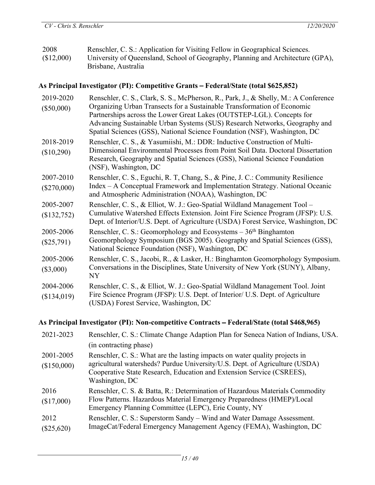| 2008       | Renschler, C. S.: Application for Visiting Fellow in Geographical Sciences.     |
|------------|---------------------------------------------------------------------------------|
| (\$12,000) | University of Queensland, School of Geography, Planning and Architecture (GPA), |
|            | Brisbane, Australia                                                             |

# **As Principal Investigator (PI): Competitive Grants** – **Federal/State (total \$625,852)**

| Renschler, C. S., Clark, S. S., McPherson, R., Park, J., & Shelly, M.: A Conference<br>Organizing Urban Transects for a Sustainable Transformation of Economic<br>Partnerships across the Lower Great Lakes (OUTSTEP-LGL). Concepts for<br>Advancing Sustainable Urban Systems (SUS) Research Networks, Geography and<br>Spatial Sciences (GSS), National Science Foundation (NSF), Washington, DC |  |
|----------------------------------------------------------------------------------------------------------------------------------------------------------------------------------------------------------------------------------------------------------------------------------------------------------------------------------------------------------------------------------------------------|--|
| Renschler, C. S., & Yasumiishi, M.: DDR: Inductive Construction of Multi-<br>Dimensional Environmental Processes from Point Soil Data. Doctoral Dissertation<br>Research, Geography and Spatial Sciences (GSS), National Science Foundation<br>(NSF), Washington, DC                                                                                                                               |  |
| Renschler, C. S., Eguchi, R. T., Chang, S., & Pine, J. C.: Community Resilience<br>Index – A Conceptual Framework and Implementation Strategy. National Oceanic<br>and Atmospheric Administration (NOAA), Washington, DC                                                                                                                                                                           |  |
| Renschler, C. S., & Elliot, W. J.: Geo-Spatial Wildland Management Tool -<br>Cumulative Watershed Effects Extension. Joint Fire Science Program (JFSP): U.S.<br>Dept. of Interior/U.S. Dept. of Agriculture (USDA) Forest Service, Washington, DC                                                                                                                                                  |  |
| Renschler, C. S.: Geomorphology and Ecosystems $-36th$ Binghamton<br>Geomorphology Symposium (BGS 2005). Geography and Spatial Sciences (GSS),<br>National Science Foundation (NSF), Washington, DC                                                                                                                                                                                                |  |
| Renschler, C. S., Jacobi, R., & Lasker, H.: Binghamton Geomorphology Symposium.<br>Conversations in the Disciplines, State University of New York (SUNY), Albany,                                                                                                                                                                                                                                  |  |
| Renschler, C. S., & Elliot, W. J.: Geo-Spatial Wildland Management Tool. Joint<br>Fire Science Program (JFSP): U.S. Dept. of Interior/ U.S. Dept. of Agriculture<br>(USDA) Forest Service, Washington, DC                                                                                                                                                                                          |  |
|                                                                                                                                                                                                                                                                                                                                                                                                    |  |

# **As Principal Investigator (PI): Non-competitive Contracts** – **Federal/State (total \$468,965)**

| 2021-2023                | Renschler, C. S.: Climate Change Adaption Plan for Seneca Nation of Indians, USA.                                                                                                                                                                     |
|--------------------------|-------------------------------------------------------------------------------------------------------------------------------------------------------------------------------------------------------------------------------------------------------|
|                          | (in contracting phase)                                                                                                                                                                                                                                |
| 2001-2005<br>(\$150,000) | Renschler, C. S.: What are the lasting impacts on water quality projects in<br>agricultural watersheds? Purdue University/U.S. Dept. of Agriculture (USDA)<br>Cooperative State Research, Education and Extension Service (CSREES),<br>Washington, DC |
| 2016<br>(\$17,000)       | Renschler, C. S. & Batta, R.: Determination of Hazardous Materials Commodity<br>Flow Patterns. Hazardous Material Emergency Preparedness (HMEP)/Local<br>Emergency Planning Committee (LEPC), Erie County, NY                                         |
| 2012<br>$(\$25,620)$     | Renschler, C. S.: Superstorm Sandy – Wind and Water Damage Assessment.<br>ImageCat/Federal Emergency Management Agency (FEMA), Washington, DC                                                                                                         |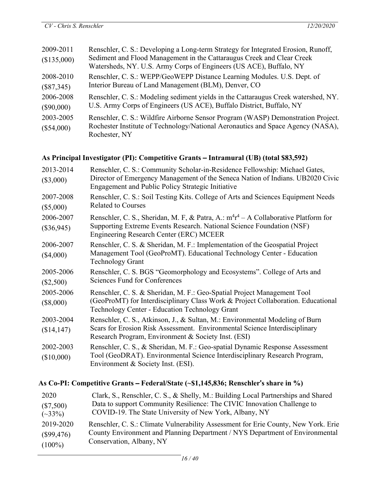| 2009-2011<br>(\$135,000)  | Renschler, C. S.: Developing a Long-term Strategy for Integrated Erosion, Runoff,<br>Sediment and Flood Management in the Cattaraugus Creek and Clear Creek<br>Watersheds, NY. U.S. Army Corps of Engineers (US ACE), Buffalo, NY |
|---------------------------|-----------------------------------------------------------------------------------------------------------------------------------------------------------------------------------------------------------------------------------|
| 2008-2010                 | Renschler, C. S.: WEPP/GeoWEPP Distance Learning Modules. U.S. Dept. of                                                                                                                                                           |
| $(\$87,345)$              | Interior Bureau of Land Management (BLM), Denver, CO                                                                                                                                                                              |
| 2006-2008                 | Renschler, C. S.: Modeling sediment yields in the Cattaraugus Creek watershed, NY.                                                                                                                                                |
| $(\$90,000)$              | U.S. Army Corps of Engineers (US ACE), Buffalo District, Buffalo, NY                                                                                                                                                              |
| 2003-2005<br>$(\$54,000)$ | Renschler, C. S.: Wildfire Airborne Sensor Program (WASP) Demonstration Project.<br>Rochester Institute of Technology/National Aeronautics and Space Agency (NASA),<br>Rochester, NY                                              |

# **As Principal Investigator (PI): Competitive Grants** – **Intramural (UB) (total \$83,592)**

| 2013-2014<br>$(\$3,000)$  | Renschler, C. S.: Community Scholar-in-Residence Fellowship: Michael Gates,<br>Director of Emergency Management of the Seneca Nation of Indians. UB2020 Civic<br>Engagement and Public Policy Strategic Initiative |
|---------------------------|--------------------------------------------------------------------------------------------------------------------------------------------------------------------------------------------------------------------|
| 2007-2008<br>$(\$5,000)$  | Renschler, C. S.: Soil Testing Kits. College of Arts and Sciences Equipment Needs<br><b>Related to Courses</b>                                                                                                     |
| 2006-2007<br>$(\$36,945)$ | Renschler, C. S., Sheridan, M. F, & Patra, A.: $m^4r^4 - A$ Collaborative Platform for<br>Supporting Extreme Events Research. National Science Foundation (NSF)<br>Engineering Research Center (ERC) MCEER         |
| 2006-2007<br>$(\$4,000)$  | Renschler, C. S. & Sheridan, M. F.: Implementation of the Geospatial Project<br>Management Tool (GeoProMT). Educational Technology Center - Education<br><b>Technology Grant</b>                                   |
| 2005-2006<br>$(\$2,500)$  | Renschler, C. S. BGS "Geomorphology and Ecosystems". College of Arts and<br><b>Sciences Fund for Conferences</b>                                                                                                   |
| 2005-2006<br>$(\$8,000)$  | Renschler, C. S. & Sheridan, M. F.: Geo-Spatial Project Management Tool<br>(GeoProMT) for Interdisciplinary Class Work & Project Collaboration. Educational<br>Technology Center - Education Technology Grant      |
| 2003-2004<br>(\$14,147)   | Renschler, C. S., Atkinson, J., & Sultan, M.: Environmental Modeling of Burn<br>Scars for Erosion Risk Assessment. Environmental Science Interdisciplinary<br>Research Program, Environment & Society Inst. (ESI)  |
| 2002-2003<br>(\$10,000)   | Renschler, C. S., & Sheridan, M. F.: Geo-spatial Dynamic Response Assessment<br>Tool (GeoDRAT). Environmental Science Interdisciplinary Research Program,<br>Environment & Society Inst. (ESI).                    |

# **As Co-PI: Competitive Grants** – **Federal/State (~\$1,145,836; Renschler**'**s share in %)**

| 2020          | Clark, S., Renschler, C. S., & Shelly, M.: Building Local Partnerships and Shared  |
|---------------|------------------------------------------------------------------------------------|
| $(\$7,500)$   | Data to support Community Resilience: The CIVIC Innovation Challenge to            |
| $(\sim 33\%)$ | COVID-19. The State University of New York, Albany, NY                             |
| 2019-2020     | Renschler, C. S.: Climate Vulnerability Assessment for Erie County, New York. Erie |
| $(\$99,476)$  | County Environment and Planning Department / NYS Department of Environmental       |
| $(100\%)$     | Conservation, Albany, NY                                                           |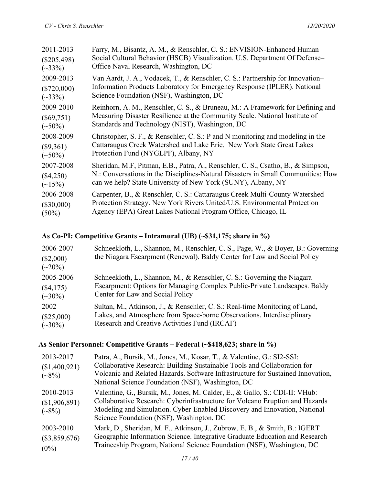| 2011-2013      | Farry, M., Bisantz, A. M., & Renschler, C. S.: ENVISION-Enhanced Human           |  |
|----------------|----------------------------------------------------------------------------------|--|
| $(\$205,498)$  | Social Cultural Behavior (HSCB) Visualization. U.S. Department Of Defense-       |  |
| $(\sim 33\%)$  | Office Naval Research, Washington, DC                                            |  |
| 2009-2013      | Van Aardt, J. A., Vodacek, T., & Renschler, C. S.: Partnership for Innovation-   |  |
| $(\$720,000)$  | Information Products Laboratory for Emergency Response (IPLER). National         |  |
| $(\sim 33\%)$  | Science Foundation (NSF), Washington, DC                                         |  |
| 2009-2010      | Reinhorn, A. M., Renschler, C. S., & Bruneau, M.: A Framework for Defining and   |  |
| $(\$69,751)$   | Measuring Disaster Resilience at the Community Scale. National Institute of      |  |
| $({\sim}50\%)$ | Standards and Technology (NIST), Washington, DC                                  |  |
| 2008-2009      | Christopher, S. F., & Renschler, C. S.: P and N monitoring and modeling in the   |  |
| $(\$9,361)$    | Cattaraugus Creek Watershed and Lake Erie. New York State Great Lakes            |  |
| $({\sim}50\%)$ | Protection Fund (NYGLPF), Albany, NY                                             |  |
| 2007-2008      | Sheridan, M.F, Pitman, E.B., Patra, A., Renschler, C. S., Csatho, B., & Simpson, |  |
| $(\$4,250)$    | N.: Conversations in the Disciplines-Natural Disasters in Small Communities: How |  |
| $(\sim 15\%)$  | can we help? State University of New York (SUNY), Albany, NY                     |  |
| 2006-2008      | Carpenter, B., & Renschler, C. S.: Cattaraugus Creek Multi-County Watershed      |  |
| $(\$30,000)$   | Protection Strategy. New York Rivers United/U.S. Environmental Protection        |  |
| $(50\%)$       | Agency (EPA) Great Lakes National Program Office, Chicago, IL                    |  |

## **As Co-PI: Competitive Grants** – **Intramural (UB) (~\$31,175; share in %)**

| 2006-2007                     | Schneekloth, L., Shannon, M., Renschler, C. S., Page, W., & Boyer, B.: Governing<br>the Niagara Escarpment (Renewal). Baldy Center for Law and Social Policy |
|-------------------------------|--------------------------------------------------------------------------------------------------------------------------------------------------------------|
| (\$2,000)<br>$(\sim 20\%)$    |                                                                                                                                                              |
| 2005-2006                     | Schneekloth, L., Shannon, M., & Renschler, C. S.: Governing the Niagara                                                                                      |
| (\$4,175)<br>$(\sim 30\%)$    | Escarpment: Options for Managing Complex Public-Private Landscapes. Baldy<br>Center for Law and Social Policy                                                |
| 2002                          | Sultan, M., Atkinson, J., & Renschler, C. S.: Real-time Monitoring of Land,                                                                                  |
| $(\$25,000)$<br>$(\sim 30\%)$ | Lakes, and Atmosphere from Space-borne Observations. Interdisciplinary<br>Research and Creative Activities Fund (IRCAF)                                      |

## **As Senior Personnel: Competitive Grants** – **Federal (~\$418,623; share in %)**

| 2013-2017<br>(\$1,400,921)<br>$({\sim}8\%)$ | Patra, A., Bursik, M., Jones, M., Kosar, T., & Valentine, G.: SI2-SSI:<br>Collaborative Research: Building Sustainable Tools and Collaboration for<br>Volcanic and Related Hazards. Software Infrastructure for Sustained Innovation,<br>National Science Foundation (NSF), Washington, DC |
|---------------------------------------------|--------------------------------------------------------------------------------------------------------------------------------------------------------------------------------------------------------------------------------------------------------------------------------------------|
| 2010-2013<br>(\$1,906,891)<br>$({\sim}8\%)$ | Valentine, G., Bursik, M., Jones, M. Calder, E., & Gallo, S.: CDI-II: VHub:<br>Collaborative Research: Cyberinfrastructure for Volcano Eruption and Hazards<br>Modeling and Simulation. Cyber-Enabled Discovery and Innovation, National<br>Science Foundation (NSF), Washington, DC       |
| 2003-2010<br>$(\$3,859,676)$<br>$(0\%)$     | Mark, D., Sheridan, M. F., Atkinson, J., Zubrow, E. B., & Smith, B.: IGERT<br>Geographic Information Science. Integrative Graduate Education and Research<br>Traineeship Program, National Science Foundation (NSF), Washington, DC                                                        |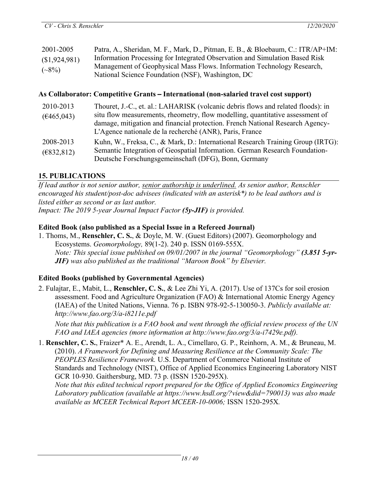| 2001-2005     | Patra, A., Sheridan, M. F., Mark, D., Pitman, E. B., & Bloebaum, C.: ITR/AP+IM: |
|---------------|---------------------------------------------------------------------------------|
| (\$1,924,981) | Information Processing for Integrated Observation and Simulation Based Risk     |
| $(\sim8\%)$   | Management of Geophysical Mass Flows. Information Technology Research,          |
|               | National Science Foundation (NSF), Washington, DC                               |

#### **As Collaborator: Competitive Grants** – **International (non-salaried travel cost support)**

| 2010-2013                | Thouret, J.-C., et. al.: LAHARISK (volcanic debris flows and related floods): in                                                                                                                                          |
|--------------------------|---------------------------------------------------------------------------------------------------------------------------------------------------------------------------------------------------------------------------|
| (6465,043)               | situ flow measurements, rheometry, flow modelling, quantitative assessment of<br>damage, mitigation and financial protection. French National Research Agency-<br>L'Agence nationale de la recherché (ANR), Paris, France |
| 2008-2013<br>(E832, 812) | Kuhn, W., Freksa, C., & Mark, D.: International Research Training Group (IRTG):<br>Semantic Integration of Geospatial Information. German Research Foundation-<br>Deutsche Forschungsgemeinschaft (DFG), Bonn, Germany    |

### **15. PUBLICATIONS**

*If lead author is not senior author, senior authorship is underlined. As senior author, Renschler encouraged his student/post-doc advisees (indicated with an asterisk\*) to be lead authors and is listed either as second or as last author. Impact: The 2019 5-year Journal Impact Factor (5y-JIF) is provided.*

### **Edited Book (also published as a Special Issue in a Refereed Journal)**

1. Thoms, M., **Renschler, C. S.**, & Doyle, M. W. (Guest Editors) (2007). Geomorphology and Ecosystems. *Geomorphology,* 89(1-2). 240 p. ISSN 0169-555X. *Note: This special issue published on 09/01/2007 in the journal "Geomorphology" (3.851 5-yr-JIF) was also published as the traditional "Maroon Book" by Elsevier.*

### **Edited Books (published by Governmental Agencies)**

2. Fulajtar, E., Mabit, L., **Renschler, C. S.**, & Lee Zhi Yi, A. (2017). Use of 137Cs for soil erosion assessment. Food and Agriculture Organization (FAO) & International Atomic Energy Agency (IAEA) of the United Nations, Vienna. 76 p. ISBN 978-92-5-130050-3. *Publicly available at: http://www.fao.org/3/a-i8211e.pdf*

*Note that this publication is a FAO book and went through the official review process of the UN FAO and IAEA agencies (more information at http://www.fao.org/3/a-i7429e.pdf).*

1. **Renschler, C. S.**, Fraizer\* A. E., Arendt, L. A., Cimellaro, G. P., Reinhorn, A. M., & Bruneau, M. (2010). *A Framework for Defining and Measuring Resilience at the Community Scale: The PEOPLES Resilience Framework.* U.S. Department of Commerce National Institute of Standards and Technology (NIST), Office of Applied Economics Engineering Laboratory NIST GCR 10-930. Gaithersburg, MD. 73 p. (ISSN 1520-295X). *Note that this edited technical report prepared for the Office of Applied Economics Engineering*

*Laboratory publication (available at https://www.hsdl.org/?view&did=790013) was also made available as MCEER Technical Report MCEER-10-0006;* ISSN 1520-295X*.*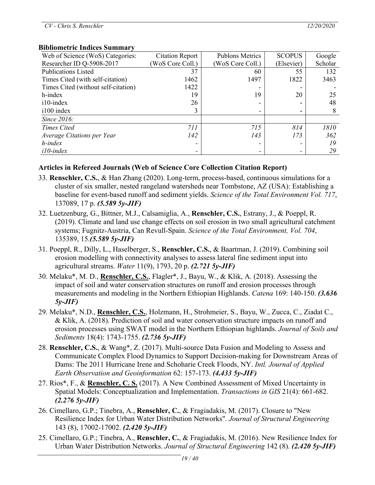#### **Bibliometric Indices Summary**

| Web of Science (WoS) Categories:    | <b>Citation Report</b> | <b>Publons Metrics</b> | <b>SCOPUS</b> | Google  |
|-------------------------------------|------------------------|------------------------|---------------|---------|
| Researcher ID Q-5908-2017           | WoS Core Coll.)        | WoS Core Coll.)        | (Elsevier)    | Scholar |
| <b>Publications Listed</b>          | 37                     | 60                     | 55            | 132     |
| Times Cited (with self-citation)    | 1462                   | 1497                   | 1822          | 3463    |
| Times Cited (without self-citation) | 1422                   |                        |               |         |
| h-index                             | 19                     | 19                     | 20            | 25      |
| i10-index                           | 26                     |                        |               | 48      |
| i100 index                          | 3                      |                        |               | 8       |
| Since 2016:                         |                        |                        |               |         |
| <b>Times Cited</b>                  | 711                    | 715                    | 814           | 1810    |
| Average Citations per Year          | 142                    | 143                    | 173           | 362     |
| h-index                             |                        |                        |               | 19      |
| $i10$ -index                        |                        |                        |               | 29      |

#### **Articles in Refereed Journals (Web of Science Core Collection Citation Report)**

- 33. **Renschler, C.S.**, & Han Zhang (2020). Long-term, process-based, continuous simulations for a cluster of six smaller, nested rangeland watersheds near Tombstone, AZ (USA): Establishing a baseline for event-based runoff and sediment yields. *Science of the Total Environment Vol. 717*, 137089, 17 p. *(5.589 5y-JIF)*
- 32. Luetzenburg, G., Bittner, M.J., Calsamiglia, A., **Renschler, C.S.**, Estrany, J., & Poeppl, R. (2019). Climate and land use change effects on soil erosion in two small agricultural catchment systems; Fugnitz-Austria, Can Revull-Spain. *Science of the Total Environment, Vol. 704*, 135389, 15.*(5.589 5y-JIF)*
- 31. Poeppl, R., Dilly, L., Haselberger, S., **Renschler, C.S.**, & Baartman, J. (2019). Combining soil erosion modelling with connectivity analyses to assess lateral fine sediment input into agricultural streams. *Water* 11(9), 1793, 20 p. *(2.721 5y-JIF)*
- 30. Melaku\*, M. D., **Renschler, C.S.**, Flagler\*, J., Bayu, W., & Klik, A. (2018). Assessing the impact of soil and water conservation structures on runoff and erosion processes through measurements and modeling in the Northern Ethiopian Highlands. *Catena* 169: 140-150. *(3.636 5y-JIF)*
- 29. Melaku\*, N.D., **Renschler, C.S.**, Holzmann, H., Strohmeier, S., Bayu, W., Zucca, C., Ziadat C., & Klik, A. (2018). Prediction of soil and water conservation structure impacts on runoff and erosion processes using SWAT model in the Northern Ethiopian highlands. *Journal of Soils and Sediments* 18(4): 1743-1755. *(2.736 5y-JIF)*
- 28. **Renschler, C.S.**, & Wang\*, Z. (2017). Multi-source Data Fusion and Modeling to Assess and Communicate Complex Flood Dynamics to Support Decision-making for Downstream Areas of Dams: The 2011 Hurricane Irene and Schoharie Creek Floods, NY. *Intl. Journal of Applied Earth Observation and Geoinformation* 62: 157-173. *(4.433 5y-JIF)*
- 27. Rios\*, F., & **Renschler, C. S.** (2017). A New Combined Assessment of Mixed Uncertainty in Spatial Models: Conceptualization and Implementation. *Transactions in GIS* 21(4): 661-682. *(2.276 5y-JIF)*
- 26. Cimellaro, G.P.; Tinebra, A., **Renschler, C.**, & Fragiadakis, M. (2017). Closure to "New Resilience Index for Urban Water Distribution Networks". *Journal of Structural Engineering* 143 (8), 17002-17002. *(2.420 5y-JIF)*
- 25. Cimellaro, G.P.; Tinebra, A., **Renschler, C.**, & Fragiadakis, M. (2016). New Resilience Index for Urban Water Distribution Networks. *Journal of Structural Engineering* 142 (8). *(2.420 5y-JIF)*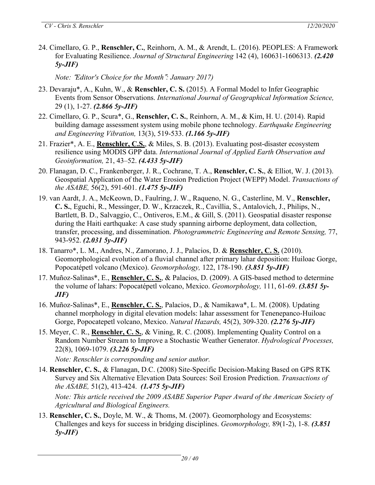24. Cimellaro, G. P., **Renschler, C.**, Reinhorn, A. M., & Arendt, L. (2016). PEOPLES: A Framework for Evaluating Resilience. *Journal of Structural Engineering* 142 (4), 160631-1606313. *(2.420 5y-JIF)*

*Note:* "*Editor's Choice for the Month*"*: January 2017)*

- 23. Devaraju\*, A., Kuhn, W., & **Renschler, C. S.** (2015). A Formal Model to Infer Geographic Events from Sensor Observations. *International Journal of Geographical Information Science,* 29 (1), 1-27. *(2.866 5y-JIF)*
- 22. Cimellaro, G. P., Scura\*, G., **Renschler, C. S.**, Reinhorn, A. M., & Kim, H. U. (2014). Rapid building damage assessment system using mobile phone technology. *Earthquake Engineering and Engineering Vibration,* 13(3), 519-533. *(1.166 5y-JIF)*
- 21. Frazier\*, A. E., **Renschler, C.S.**, & Miles, S. B. (2013). Evaluating post-disaster ecosystem resilience using MODIS GPP data. *International Journal of Applied Earth Observation and Geoinformation,* 21, 43–52. *(4.433 5y-JIF)*
- 20. Flanagan, D. C., Frankenberger, J. R., Cochrane, T. A., **Renschler, C. S.**, & Elliot, W. J. (2013). Geospatial Application of the Water Erosion Prediction Project (WEPP) Model. *Transactions of the ASABE,* 56(2), 591-601. *(1.475 5y-JIF)*
- 19. van Aardt, J. A., McKeown, D., Faulring, J. W., Raqueno, N. G., Casterline, M. V., **Renschler, C. S.**, Eguchi, R., Messinger, D. W., Krzaczek, R., Cavillia, S., Antalovich, J., Philips, N., Bartlett, B. D., Salvaggio, C., Ontiveros, E.M., & Gill, S. (2011). Geospatial disaster response during the Haiti earthquake: A case study spanning airborne deployment, data collection, transfer, processing, and dissemination. *Photogrammetric Engineering and Remote Sensing,* 77, 943-952. *(2.031 5y-JIF)*
- 18. Tanarro\*, L. M., Andres, N., Zamorano, J. J., Palacios, D. & **Renschler, C. S.** (2010). Geomorphological evolution of a fluvial channel after primary lahar deposition: Huiloac Gorge, Popocatépetl volcano (Mexico). *Geomorphology,* 122, 178-190. *(3.851 5y-JIF)*
- 17. Muñoz-Salinas\*, E., **Renschler, C. S.**, & Palacios, D. (2009). A GIS-based method to determine the volume of lahars: Popocatépetl volcano, Mexico. *Geomorphology,* 111, 61-69. *(3.851 5y-JIF)*
- 16. Muñoz-Salinas\*, E., **Renschler, C. S.**, Palacios, D., & Namikawa\*, L. M. (2008). Updating channel morphology in digital elevation models: lahar assessment for Tenenepanco-Huiloac Gorge, Popocatepetl volcano, Mexico. *Natural Hazards,* 45(2), 309-320. *(2.276 5y-JIF)*
- 15. Meyer, C. R., **Renschler, C. S.**, & Vining, R. C. (2008). Implementing Quality Control on a Random Number Stream to Improve a Stochastic Weather Generator. *Hydrological Processes,* 22(8), 1069-1079. *(3.226 5y-JIF)*

*Note: Renschler is corresponding and senior author.*

14. **Renschler, C. S.**, & Flanagan, D.C. (2008) Site-Specific Decision-Making Based on GPS RTK Survey and Six Alternative Elevation Data Sources: Soil Erosion Prediction. *Transactions of the ASABE,* 51(2), 413-424. *(1.475 5y-JIF)*

*Note: This article received the 2009 ASABE Superior Paper Award of the American Society of Agricultural and Biological Engineers.*

13. **Renschler, C. S.**, Doyle, M. W., & Thoms, M. (2007). Geomorphology and Ecosystems: Challenges and keys for success in bridging disciplines. *Geomorphology,* 89(1-2), 1-8. *(3.851 5y-JIF)*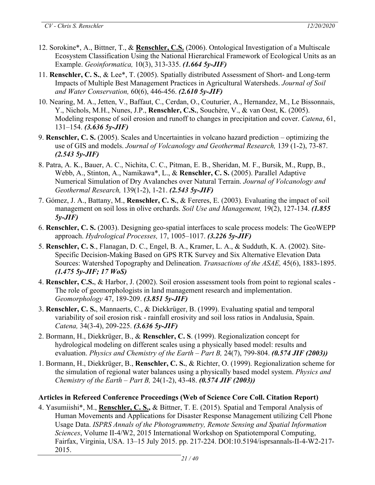- 12. Sorokine\*, A., Bittner, T., & **Renschler, C.S.** (2006). Ontological Investigation of a Multiscale Ecosystem Classification Using the National Hierarchical Framework of Ecological Units as an Example. *Geoinformatica,* 10(3), 313-335. *(1.664 5y-JIF)*
- 11. **Renschler, C. S.**, & Lee\*, T. (2005). Spatially distributed Assessment of Short- and Long-term Impacts of Multiple Best Management Practices in Agricultural Watersheds. *Journal of Soil and Water Conservation,* 60(6), 446-456. *(2.610 5y-JIF)*
- 10. Nearing, M. A., Jetten, V., Baffaut, C., Cerdan, O., Couturier, A., Hernandez, M., Le Bissonnais, Y., Nichols, M.H., Nunes, J.P., **Renschler, C.S.**, Souchère, V., & van Oost, K. (2005). Modeling response of soil erosion and runoff to changes in precipitation and cover. *Catena*, 61, 131–154. *(3.636 5y-JIF)*
- 9. **Renschler, C. S.** (2005). Scales and Uncertainties in volcano hazard prediction optimizing the use of GIS and models. *Journal of Volcanology and Geothermal Research,* 139 (1-2), 73-87. *(2.543 5y-JIF)*
- 8. Patra, A. K., Bauer, A. C., Nichita, C. C., Pitman, E. B., Sheridan, M. F., Bursik, M., Rupp, B., Webb, A., Stinton, A., Namikawa\*, L., & **Renschler, C. S.** (2005). Parallel Adaptive Numerical Simulation of Dry Avalanches over Natural Terrain. *Journal of Volcanology and Geothermal Research,* 139(1-2), 1-21. *(2.543 5y-JIF)*
- 7. Gómez, J. A., Battany, M., **Renschler, C. S.**, & Fereres, E. (2003). Evaluating the impact of soil management on soil loss in olive orchards. *Soil Use and Management,* 19(2), 127-134. *(1.855 5y-JIF)*
- 6. **Renschler, C. S.** (2003). Designing geo-spatial interfaces to scale process models: The GeoWEPP approach. *Hydrological Processes,* 17, 1005–1017. *(3.226 5y-JIF)*
- 5. **Renschler, C. S**., Flanagan, D. C., Engel, B. A., Kramer, L. A., & Sudduth, K. A. (2002). Site-Specific Decision-Making Based on GPS RTK Survey and Six Alternative Elevation Data Sources: Watershed Topography and Delineation. *Transactions of the ASAE,* 45(6), 1883-1895. *(1.475 5y-JIF; 17 WoS)*
- 4. **Renschler, C.S.**, & Harbor, J. (2002). Soil erosion assessment tools from point to regional scales The role of geomorphologists in land management research and implementation. *Geomorphology* 47, 189-209. *(3.851 5y-JIF)*
- 3. **Renschler, C. S.**, Mannaerts, C., & Diekkrüger, B. (1999). Evaluating spatial and temporal variability of soil erosion risk - rainfall erosivity and soil loss ratios in Andalusia, Spain. *Catena,* 34(3-4), 209-225. *(3.636 5y-JIF)*
- 2. Bormann, H., Diekkrüger, B., & **Renschler, C. S**. (1999). Regionalization concept for hydrological modeling on different scales using a physically based model: results and evaluation. *Physics and Chemistry of the Earth – Part B,* 24(7), 799-804. *(0.574 JIF (2003))*
- 1. Bormann, H., Diekkrüger, B., **Renschler, C. S.**, & Richter, O. (1999). Regionalization scheme for the simulation of regional water balances using a physically based model system. *Physics and Chemistry of the Earth – Part B,* 24(1-2), 43-48. *(0.574 JIF (2003))*

# **Articles in Refereed Conference Proceedings (Web of Science Core Coll. Citation Report)**

4. Yasumiishi\*, M., **Renschler, C. S.,** & Bittner, T. E. (2015). Spatial and Temporal Analysis of Human Movements and Applications for Disaster Response Management utilizing Cell Phone Usage Data. *ISPRS Annals of the Photogrammetry, Remote Sensing and Spatial Information Sciences*, Volume II-4/W2, 2015 International Workshop on Spatiotemporal Computing, Fairfax, Virginia, USA. 13–15 July 2015. pp. 217-224. DOI:10.5194/isprsannals-II-4-W2-217- 2015.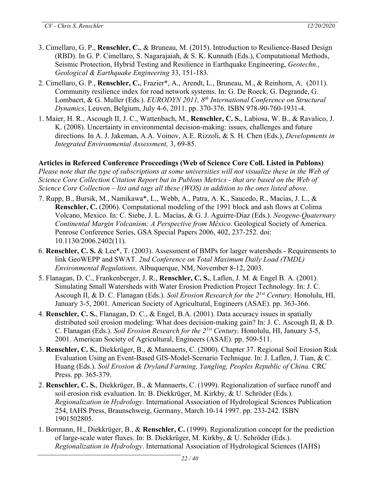- 3. Cimellaro, G. P., **Renschler, C.**, & Bruneau, M. (2015). Introduction to Resilience-Based Design (RBD). In G. P. Cimellaro, S. Nagarajaiah, & S. K. Kunnath (Eds.), Computational Methods, Seismic Protection, Hybrid Testing and Resilience in Earthquake Engineering, *Geotechn., Geological & Earthquake Engineering* 33, 151-183.
- 2. Cimellaro, G. P., **Renschler, C.**, Frazier\*, A., Arendt, L., Bruneau, M., & Reinhorn, A. (2011). Community resilience index for road network systems. In: G. De Roeck, G. Degrande, G. Lombaert, & G. Muller (Eds.). *EURODYN 2011, 8th International Conference on Structural Dynamics*, Leuven, Belgium, July 4-6, 2011. pp. 370-376. ISBN 978-90-760-1931-4.
- 1. Maier, H. R., Ascough II, J. C., Wattenbach, M., **Renschler, C. S.**, Labiosa, W. B., & Ravalico, J. K. (2008). Uncertainty in environmental decision-making: issues, challenges and future directions. In A. J. Jakeman, A.A. Voinov, A.E. Rizzoli, & S. H. Chen (Eds.), *Developments in Integrated Environmental Assessment,* 3, 69-85.

# **Articles in Refereed Conference Proceedings (Web of Science Core Coll. Listed in Publons)**

Please note that the type of subscriptions at some universities will not visualize these in the Web of *Science Core Collection Citation Report but in Publons Metrics - that are based on the Web of Science Core Collection – list and tags all these (WOS) in addition to the ones listed above.*

- 7. Rupp, B., Bursik, M., Namikawa\*, L., Webb, A., Patra, A. K., Saucedo, R., Macias, J. L., & **Renschler, C.** (2006). Computational modeling of the 1991 block and ash flows at Colima Volcano, Mexico. In: C. Siebe, J. L. Macías, & G. J. Aguirre-Díaz (Eds.). *Neogene-Quaternary Continental Margin Volcanism: A Perspective from México*. Geological Society of America. Penrose Conference Series, GSA Special Papers 2006, 402, 237-252. doi: 10.1130/2006.2402(11).
- 6. **Renschler, C. S.** & Lee\*, T. (2003). Assessment of BMPs for larger watersheds Requirements to link GeoWEPP and SWAT. *2nd Conference on Total Maximum Daily Load (TMDL) Environmental Regulations,* Albuquerque, NM, November 8-12, 2003.
- 5. Flanagan, D. C., Frankenberger, J. R., **Renschler, C. S.**, Laflen, J. M. & Engel B. A. (2001). Simulating Small Watersheds with Water Erosion Prediction Project Technology. In: J. C. Ascough II, & D. C. Flanagan (Eds.). *Soil Erosion Research for the 21st Century,* Honolulu, HI, January 3-5, 2001. American Society of Agricultural, Engineers (ASAE). pp. 363-366.
- 4. **Renschler, C. S.**, Flanagan, D. C., & Engel, B.A. (2001). Data accuracy issues in spatially distributed soil erosion modeling: What does decision-making gain? In: J. C. Ascough II, & D. C. Flanagan (Eds.). *Soil Erosion Research for the 21st Century,* Honolulu, HI, January 3-5, 2001. American Society of Agricultural, Engineers (ASAE). pp. 509-511.
- 3. **Renschler, C. S.**, Diekkrüger, B., & Mannaerts, C. (2000). Chapter 37. Regional Soil Erosion Risk Evaluation Using an Event-Based GIS-Model-Scenario Technique. In: J. Laflen, J. Tian, & C. Huang (Eds.). *Soil Erosion & Dryland Farming, Yangling, Peoples Republic of China.* CRC Press. pp. 365-379.
- 2. **Renschler, C. S.**, Diekkrüger, B., & Mannaerts, C. (1999). Regionalization of surface runoff and soil erosion risk evaluation. In: B. Diekkrüger, M. Kirkby, & U. Schröder (Eds.). *Regionalization in Hydrology*. International Association of Hydrological Sciences Publication 254, IAHS Press, Braunschweig, Germany, March 10-14 1997. pp. 233-242. ISBN 1901502805.
- 1. Bormann, H., Diekkrüger, B., & **Renschler, C.** (1999). Regionalization concept for the prediction of large-scale water fluxes. In: B. Diekkrüger, M. Kirkby, & U. Schröder (Eds.). *Regionalization in Hydrology*. International Association of Hydrological Sciences (IAHS)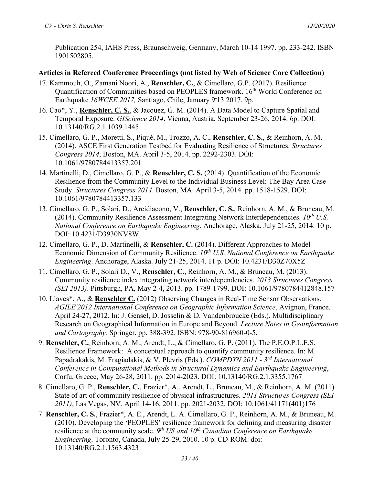Publication 254, IAHS Press, Braunschweig, Germany, March 10-14 1997. pp. 233-242. ISBN 1901502805.

#### **Articles in Refereed Conference Proceedings (not listed by Web of Science Core Collection)**

- 17. Kammouh, O., Zamani Noori, A., **Renschler, C.**, & Cimellaro, G.P. (2017). Resilience Quantification of Communities based on PEOPLES framework. 16<sup>th</sup> World Conference on Earthquake *16WCEE 2017,* Santiago, Chile, January 9- 13 2017. 9p.
- 16. Cao\*, Y., **Renschler, C. S.**, & Jacquez, G. M. (2014). A Data Model to Capture Spatial and Temporal Exposure. *GIScience 2014*. Vienna, Austria. September 23-26, 2014. 6p. DOI: 10.13140/RG.2.1.1039.1445
- 15. Cimellaro, G. P., Moretti, S., Piqué, M., Trozzo, A. C., **Renschler, C. S.**, & Reinhorn, A. M. (2014). ASCE First Generation Testbed for Evaluating Resilience of Structures. *Structures Congress 2014*, Boston, MA. April 3-5, 2014. pp. 2292-2303. DOI: 10.1061/9780784413357.201
- 14. Martinelli, D., Cimellaro, G. P., & **Renschler, C. S.** (2014). Quantification of the Economic Resilience from the Community Level to the Individual Business Level: The Bay Area Case Study. *Structures Congress 2014*. Boston, MA. April 3-5, 2014. pp. 1518-1529. DOI: 10.1061/9780784413357.133
- 13. Cimellaro, G. P., Solari, D., Arcidiacono, V., **Renschler, C. S.**, Reinhorn, A. M., & Bruneau, M. (2014). Community Resilience Assessment Integrating Network Interdependencies.  $10^{th}$  U.S. *National Conference on Earthquake Engineering*. Anchorage, Alaska. July 21-25, 2014. 10 p. DOI: 10.4231/D3930NV8W
- 12. Cimellaro, G. P., D. Martinelli, & **Renschler, C.** (2014). Different Approaches to Model Economic Dimension of Community Resilience. *10th U.S. National Conference on Earthquake Engineering*. Anchorage, Alaska. July 21-25, 2014. 11 p. DOI: 10.4231/D30Z70X5Z
- 11. Cimellaro, G. P., Solari D., V., **Renschler, C.**, Reinhorn, A. M., & Bruneau, M. (2013). Community resilience index integrating network interdependencies. *2013 Structures Congress (SEI 2013)*. Pittsburgh, PA, May 2-4, 2013. pp. 1789-1799. DOI: 10.1061/9780784412848.157
- 10. Llaves\*, A., & **Renschler C.** (2012) Observing Changes in Real-Time Sensor Observations. *AGILE'2012 International Conference on Geographic Information Science*, Avignon, France. April 24-27, 2012. In: J. Gensel, D. Josselin & D. Vandenbroucke (Eds.). Multidisciplinary Research on Geographical Information in Europe and Beyond. *Lecture Notes in Geoinformation and Cartography.* Springer. pp. 388-392. ISBN: 978-90-816960-0-5.
- 9. **Renschler, C.**, Reinhorn, A. M., Arendt, L., & Cimellaro, G. P. (2011). The P.E.O.P.L.E.S. Resilience Framework: A conceptual approach to quantify community resilience. In: M. Papadrakakis, M. Fragiadakis, & V. Plevris (Eds.). *COMPDYN 2011 - 3rd International Conference in Computational Methods in Structural Dynamics and Earthquake Engineering*, Corfu, Greece, May 26-28, 2011. pp. 2014-2023. DOI: 10.13140/RG.2.1.3355.1767
- 8. Cimellaro, G. P., **Renschler, C.**, Frazier\*, A., Arendt, L., Bruneau, M., & Reinhorn, A. M. (2011) State of art of community resilience of physical infrastructures. *2011 Structures Congress (SEI 2011)*, Las Vegas, NV. April 14-16, 2011. pp. 2021-2032. DOI: 10.1061/41171(401)176
- 7. **Renschler, C. S.**, Frazier\*, A. E., Arendt, L. A. Cimellaro, G. P., Reinhorn, A. M., & Bruneau, M. (2010). Developing the 'PEOPLES' resilience framework for defining and measuring disaster resilience at the community scale. *9th US and 10th Canadian Conference on Earthquake Engineering*. Toronto, Canada, July 25-29, 2010. 10 p. CD-ROM. doi: 10.13140/RG.2.1.1563.4323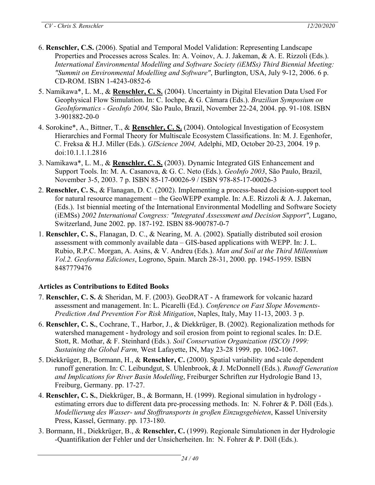- 6. **Renschler, C.S.** (2006). Spatial and Temporal Model Validation: Representing Landscape Properties and Processes across Scales. In: A. Voinov, A. J. Jakeman, & A. E. Rizzoli (Eds.). *International Environmental Modelling and Software Society (iEMSs) Third Biennial Meeting: "Summit on Environmental Modelling and Software"*, Burlington, USA, July 9-12, 2006. 6 p. CD-ROM. ISBN 1-4243-0852-6
- 5. Namikawa\*, L. M., & **Renschler, C. S.** (2004). Uncertainty in Digital Elevation Data Used For Geophysical Flow Simulation. In: C. Iochpe, & G. Câmara (Eds.). *Brazilian Symposium on GeoInformatics - GeoInfo 2004,* São Paulo, Brazil, November 22-24, 2004. pp. 91-108. ISBN 3-901882-20-0
- 4. Sorokine\*, A., Bittner, T., & **Renschler, C. S.** (2004). Ontological Investigation of Ecosystem Hierarchies and Formal Theory for Multiscale Ecosystem Classifications. In: M. J. Egenhofer, C. Freksa & H.J. Miller (Eds.). *GIScience 2004,* Adelphi, MD, October 20-23, 2004. 19 p. doi:10.1.1.1.2816
- 3. Namikawa\*, L. M., & **Renschler, C. S.** (2003). Dynamic Integrated GIS Enhancement and Support Tools. In: M. A. Casanova, & G. C. Neto (Eds.). *GeoInfo 2003*, São Paulo, Brazil, November 3-5, 2003. 7 p. ISBN 85-17-00026-9 / ISBN 978-85-17-00026-3
- 2. **Renschler, C. S.**, & Flanagan, D. C. (2002). Implementing a process-based decision-support tool for natural resource management – the GeoWEPP example. In: A.E. Rizzoli & A. J. Jakeman, (Eds.). 1st biennial meeting of the International Environmental Modelling and Software Society (iEMSs) *2002 International Congress: "Integrated Assessment and Decision Support"*, Lugano, Switzerland, June 2002. pp. 187-192. ISBN 88-900787-0-7
- 1. **Renschler, C. S.**, Flanagan, D. C., & Nearing, M. A. (2002). Spatially distributed soil erosion assessment with commonly available data – GIS-based applications with WEPP. In: J. L. Rubio, R.P.C. Morgan, A. Asins, & V. Andreu (Eds.). *Man and Soil at the Third Millennium Vol.2. Geoforma Ediciones*, Logrono, Spain. March 28-31, 2000. pp. 1945-1959. ISBN 8487779476

# **Articles as Contributions to Edited Books**

- 7. **Renschler, C. S.** & Sheridan, M. F. (2003). GeoDRAT A framework for volcanic hazard assessment and management. In: L. Picarelli (Ed.). *Conference on Fast Slope Movements-Prediction And Prevention For Risk Mitigation*, Naples, Italy, May 11-13, 2003. 3 p.
- 6. **Renschler, C. S.**, Cochrane, T., Harbor, J., & Diekkrüger, B. (2002). Regionalization methods for watershed management - hydrology and soil erosion from point to regional scales. In: D.E. Stott, R. Mothar, & F. Steinhard (Eds.). *Soil Conservation Organization (ISCO) 1999: Sustaining the Global Farm,* West Lafayette, IN, May 23-28 1999. pp. 1062-1067.
- 5. Diekkrüger, B., Bormann, H., & **Renschler, C.** (2000). Spatial variability and scale dependent runoff generation. In: C. Leibundgut, S. Uhlenbrook, & J. McDonnell (Eds.). *Runoff Generation and Implications for River Basin Modelling*, Freiburger Schriften zur Hydrologie Band 13, Freiburg, Germany. pp. 17-27.
- 4. **Renschler, C. S.**, Diekkrüger, B., & Bormann, H. (1999). Regional simulation in hydrology estimating errors due to different data pre-processing methods. In: N. Fohrer & P. Döll (Eds.). *Modellierung des Wasser- und Stofftransports in großen Einzugsgebieten*, Kassel University Press, Kassel, Germany. pp. 173-180.
- 3. Bormann, H., Diekkrüger, B., & **Renschler, C.** (1999). Regionale Simulationen in der Hydrologie -Quantifikation der Fehler und der Unsicherheiten. In: N. Fohrer & P. Döll (Eds.).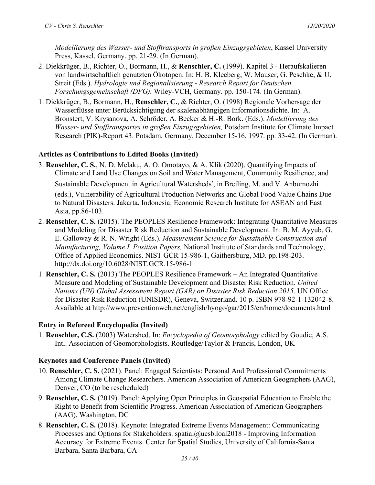*Modellierung des Wasser- und Stofftransports in großen Einzugsgebieten*, Kassel University Press, Kassel, Germany. pp. 21-29. (In German).

- 2. Diekkrüger, B., Richter, O., Bormann, H., & **Renschler, C.** (1999). Kapitel 3 Heraufskalieren von landwirtschaftlich genutzten Ökotopen. In: H. B. Kleeberg, W. Mauser, G. Peschke, & U. Streit (Eds.). *Hydrologie und Regionalisierung* - *Research Report for Deutschen Forschungsgemeinschaft (DFG).* Wiley-VCH, Germany. pp. 150-174. (In German).
- 1. Diekkrüger, B., Bormann, H., **Renschler, C.**, & Richter, O. (1998) Regionale Vorhersage der Wasserflüsse unter Berücksichtigung der skalenabhängigen Informationsdichte. In: A. Bronstert, V. Krysanova, A. Schröder, A. Becker & H.-R. Bork. (Eds.). *Modellierung des Wasser- und Stofftransportes in großen Einzugsgebieten,* Potsdam Institute for Climate Impact Research (PIK)-Report 43. Potsdam, Germany, December 15-16, 1997. pp. 33-42. (In German).

# **Articles as Contributions to Edited Books (Invited)**

- 3. **Renschler, C. S.**, N. D. Melaku, A. O. Omotayo, & A. Klik (2020). Quantifying Impacts of Climate and Land Use Changes on Soil and Water Management, Community Resilience, and Sustainable Development in Agricultural Watersheds', in Breiling, M. and V. Anbumozhi (eds.), Vulnerability of Agricultural Production Networks and Global Food Value Chains Due to Natural Disasters. Jakarta, Indonesia: Economic Research Institute for ASEAN and East Asia, pp.86-103.
- 2. **Renschler, C. S.** (2015). The PEOPLES Resilience Framework: Integrating Quantitative Measures and Modeling for Disaster Risk Reduction and Sustainable Development. In: B. M. Ayyub, G. E. Galloway & R. N. Wright (Eds.). *Measurement Science for Sustainable Construction and Manufacturing, Volume I. Position Papers,* National Institute of Standards and Technology, Office of Applied Economics. NIST GCR 15-986-1, Gaithersburg, MD. pp.198-203. http://dx.doi.org/10.6028/NIST.GCR.15-986-1
- 1. **Renschler, C. S.** (2013) The PEOPLES Resilience Framework An Integrated Quantitative Measure and Modeling of Sustainable Development and Disaster Risk Reduction. *United Nations (UN) Global Assessment Report (GAR) on Disaster Risk Reduction 2015*. UN Office for Disaster Risk Reduction (UNISDR), Geneva, Switzerland. 10 p. ISBN 978-92-1-132042-8. Available at http://www.preventionweb.net/english/hyogo/gar/2015/en/home/documents.html

# **Entry in Refereed Encyclopedia (Invited)**

1. **Renschler, C.S.** (2003) Watershed. In: *Encyclopedia of Geomorphology* edited by Goudie, A.S. Intl. Association of Geomorphologists. Routledge/Taylor & Francis, London, UK

# **Keynotes and Conference Panels (Invited)**

- 10. **Renschler, C. S.** (2021). Panel: Engaged Scientists: Personal And Professional Commitments Among Climate Change Researchers. American Association of American Geographers (AAG), Denver, CO (to be rescheduled)
- 9. **Renschler, C. S.** (2019). Panel: Applying Open Principles in Geospatial Education to Enable the Right to Benefit from Scientific Progress. American Association of American Geographers (AAG), Washington, DC
- 8. **Renschler, C. S.** (2018). Keynote: Integrated Extreme Events Management: Communicating Processes and Options for Stakeholders. spatial@ucsb.loal2018 - Improving Information Accuracy for Extreme Events. Center for Spatial Studies, University of California-Santa Barbara, Santa Barbara, CA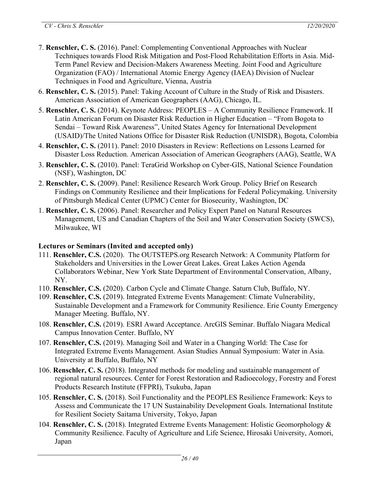- 7. **Renschler, C. S.** (2016). Panel: Complementing Conventional Approaches with Nuclear Techniques towards Flood Risk Mitigation and Post-Flood Rehabilitation Efforts in Asia. Mid-Term Panel Review and Decision-Makers Awareness Meeting. Joint Food and Agriculture Organization (FAO) / International Atomic Energy Agency (IAEA) Division of Nuclear Techniques in Food and Agriculture, Vienna, Austria
- 6. **Renschler, C. S.** (2015). Panel: Taking Account of Culture in the Study of Risk and Disasters. American Association of American Geographers (AAG), Chicago, IL.
- 5. **Renschler, C. S.** (2014). Keynote Address: PEOPLES A Community Resilience Framework. II Latin American Forum on Disaster Risk Reduction in Higher Education – "From Bogota to Sendai – Toward Risk Awareness", United States Agency for International Development (USAID)/The United Nations Office for Disaster Risk Reduction (UNISDR), Bogota, Colombia
- 4. **Renschler, C. S.** (2011). Panel: 2010 Disasters in Review: Reflections on Lessons Learned for Disaster Loss Reduction. American Association of American Geographers (AAG), Seattle, WA
- 3. **Renschler, C. S.** (2010). Panel: TeraGrid Workshop on Cyber-GIS, National Science Foundation (NSF), Washington, DC
- 2. **Renschler, C. S.** (2009). Panel: Resilience Research Work Group. Policy Brief on Research Findings on Community Resilience and their Implications for Federal Policymaking. University of Pittsburgh Medical Center (UPMC) Center for Biosecurity, Washington, DC
- 1. **Renschler, C. S.** (2006). Panel: Researcher and Policy Expert Panel on Natural Resources Management, US and Canadian Chapters of the Soil and Water Conservation Society (SWCS), Milwaukee, WI

# **Lectures or Seminars (Invited and accepted only)**

- 111. **Renschler, C.S.** (2020). The OUTSTEPS.org Research Network: A Community Platform for Stakeholders and Universities in the Lower Great Lakes. Great Lakes Action Agenda Collaborators Webinar, New York State Department of Environmental Conservation, Albany, NY.
- 110. **Renschler, C.S.** (2020). Carbon Cycle and Climate Change. Saturn Club, Buffalo, NY.
- 109. **Renschler, C.S.** (2019). Integrated Extreme Events Management: Climate Vulnerability, Sustainable Development and a Framework for Community Resilience. Erie County Emergency Manager Meeting. Buffalo, NY.
- 108. **Renschler, C.S.** (2019). ESRI Award Acceptance. ArcGIS Seminar. Buffalo Niagara Medical Campus Innovation Center. Buffalo, NY
- 107. **Renschler, C.S.** (2019). Managing Soil and Water in a Changing World: The Case for Integrated Extreme Events Management. Asian Studies Annual Symposium: Water in Asia. University at Buffalo, Buffalo, NY
- 106. **Renschler, C. S.** (2018). Integrated methods for modeling and sustainable management of regional natural resources. Center for Forest Restoration and Radioecology, Forestry and Forest Products Research Institute (FFPRI), Tsukuba, Japan
- 105. **Renschler, C. S.** (2018). Soil Functionality and the PEOPLES Resilience Framework: Keys to Assess and Communicate the 17 UN Sustainability Development Goals. International Institute for Resilient Society Saitama University, Tokyo, Japan
- 104. **Renschler, C. S.** (2018). Integrated Extreme Events Management: Holistic Geomorphology & Community Resilience. Faculty of Agriculture and Life Science, Hirosaki University, Aomori, Japan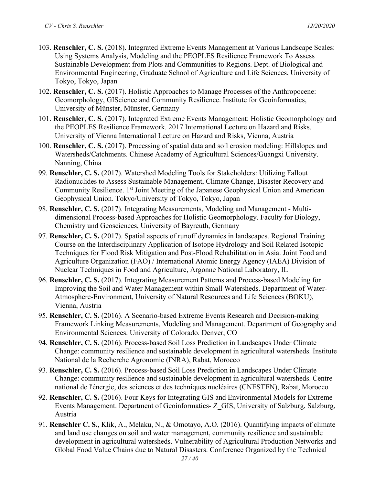- 103. **Renschler, C. S.** (2018). Integrated Extreme Events Management at Various Landscape Scales: Using Systems Analysis, Modeling and the PEOPLES Resilience Framework To Assess Sustainable Development from Plots and Communities to Regions. Dept. of Biological and Environmental Engineering, Graduate School of Agriculture and Life Sciences, University of Tokyo, Tokyo, Japan
- 102. **Renschler, C. S.** (2017). Holistic Approaches to Manage Processes of the Anthropocene: Geomorphology, GIScience and Community Resilience. Institute for Geoinformatics, University of Münster, Münster, Germany
- 101. **Renschler, C. S.** (2017). Integrated Extreme Events Management: Holistic Geomorphology and the PEOPLES Resilience Framework. 2017 International Lecture on Hazard and Risks. University of Vienna International Lecture on Hazard and Risks, Vienna, Austria
- 100. **Renschler, C. S.** (2017). Processing of spatial data and soil erosion modeling: Hillslopes and Watersheds/Catchments. Chinese Academy of Agricultural Sciences/Guangxi University. Nanning, China
- 99. **Renschler, C. S.** (2017). Watershed Modeling Tools for Stakeholders: Utilizing Fallout Radionuclides to Assess Sustainable Management, Climate Change, Disaster Recovery and Community Resilience. 1<sup>st</sup> Joint Meeting of the Japanese Geophysical Union and American Geophysical Union. Tokyo/University of Tokyo, Tokyo, Japan
- 98. **Renschler, C. S.** (2017). Integrating Measurements, Modeling and Management Multidimensional Process-based Approaches for Holistic Geomorphology. Faculty for Biology, Chemistry und Geosciences, University of Bayreuth, Germany
- 97. **Renschler, C. S.** (2017). Spatial aspects of runoff dynamics in landscapes. Regional Training Course on the Interdisciplinary Application of Isotope Hydrology and Soil Related Isotopic Techniques for Flood Risk Mitigation and Post-Flood Rehabilitation in Asia. Joint Food and Agriculture Organization (FAO) / International Atomic Energy Agency (IAEA) Division of Nuclear Techniques in Food and Agriculture, Argonne National Laboratory, IL
- 96. **Renschler, C. S.** (2017). Integrating Measurement Patterns and Process-based Modeling for Improving the Soil and Water Management within Small Watersheds. Department of Water-Atmosphere-Environment, University of Natural Resources and Life Sciences (BOKU), Vienna, Austria
- 95. **Renschler, C. S.** (2016). A Scenario-based Extreme Events Research and Decision-making Framework Linking Measurements, Modeling and Management. Department of Geography and Environmental Sciences. University of Colorado. Denver, CO
- 94. **Renschler, C. S.** (2016). Process-based Soil Loss Prediction in Landscapes Under Climate Change: community resilience and sustainable development in agricultural watersheds. Institute National de la Recherche Agronomic (INRA), Rabat, Morocco
- 93. **Renschler, C. S.** (2016). Process-based Soil Loss Prediction in Landscapes Under Climate Change: community resilience and sustainable development in agricultural watersheds. Centre national de l'énergie, des sciences et des techniques nucléaires (CNESTEN), Rabat, Morocco
- 92. **Renschler, C. S.** (2016). Four Keys for Integrating GIS and Environmental Models for Extreme Events Management. Department of Geoinformatics- Z\_GIS, University of Salzburg, Salzburg, Austria
- 91. **Renschler C. S.**, Klik, A., Melaku, N., & Omotayo, A.O. (2016). Quantifying impacts of climate and land use changes on soil and water management, community resilience and sustainable development in agricultural watersheds. Vulnerability of Agricultural Production Networks and Global Food Value Chains due to Natural Disasters. Conference Organized by the Technical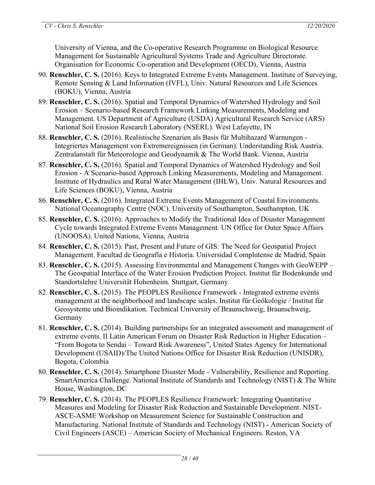University of Vienna, and the Co-operative Research Programme on Biological Resource Management for Sustainable Agricultural Systems Trade and Agriculture Directorate. Organisation for Economic Co-operation and Development (OECD), Vienna, Austria

- 90. **Renschler, C. S.** (2016). Keys to Integrated Extreme Events Management. Institute of Surveying, Remote Sensing & Land Information (IVFL), Univ. Natural Resources and Life Sciences (BOKU), Vienna, Austria
- 89. **Renschler, C. S.** (2016). Spatial and Temporal Dynamics of Watershed Hydrology and Soil Erosion – Scenario-based Research Framework Linking Measurements, Modeling and Management. US Department of Agriculture (USDA) Agricultural Research Service (ARS) National Soil Erosion Research Laboratory (NSERL). West Lafayette, IN
- 88. **Renschler, C. S.** (2016). Realistische Szenarien als Basis für Multihazard Warnungen Integriertes Management von Extremereignissen (in German). Understanding Risk Austria. Zentralanstalt für Meteorologie and Geodynamik & The World Bank. Vienna, Austria
- 87. **Renschler, C. S.** (2016). Spatial and Temporal Dynamics of Watershed Hydrology and Soil Erosion - A Scenario-based Approach Linking Measurements, Modeling and Management. Institute of Hydraulics and Rural Water Management (IHLW), Univ. Natural Resources and Life Sciences (BOKU), Vienna, Austria
- 86. **Renschler, C. S.** (2016). Integrated Extreme Events Management of Coastal Environments. National Oceanography Centre (NOC). University of Southampton, Southampton, UK
- 85. **Renschler, C. S.** (2016). Approaches to Modify the Traditional Idea of Disaster Management Cycle towards Integrated Extreme Events Management. UN Office for Outer Space Affairs (UNOOSA). United Nations, Vienna, Austria
- 84. **Renschler, C. S.** (2015). Past, Present and Future of GIS: The Need for Geospatial Project Management. Facultad de Geografía e Historia. Universidad Complutense de Madrid, Spain
- 83. **Renschler, C. S.** (2015). Assessing Environmental and Management Changes with GeoWEPP The Geospatial Interface of the Water Erosion Prediction Project. Institut für Bodenkunde und Standortslehre Universität Hohenheim. Stuttgart, Germany
- 82. **Renschler, C. S.** (2015). The PEOPLES Resilience Framework Integrated extreme events management at the neighborhood and landscape scales. Institut für Geökologie / Institut für Geosysteme und Bioindikation. Technical University of Braunschweig, Braunschweig, Germany
- 81. **Renschler, C. S.** (2014). Building partnerships for an integrated assessment and management of extreme events. II Latin American Forum on Disaster Risk Reduction in Higher Education – "From Bogota to Sendai – Toward Risk Awareness", United States Agency for International Development (USAID)/The United Nations Office for Disaster Risk Reduction (UNISDR), Bogota, Colombia
- 80. **Renschler, C. S.** (2014). Smartphone Disaster Mode Vulnerability, Resilience and Reporting. SmartAmerica Challenge. National Institute of Standards and Technology (NIST) & The White House, Washington, DC
- 79. **Renschler, C. S.** (2014). The PEOPLES Resilience Framework: Integrating Quantitative Measures and Modeling for Disaster Risk Reduction and Sustainable Development. NIST-ASCE-ASME Workshop on Measurement Science for Sustainable Construction and Manufacturing. National Institute of Standards and Technology (NIST) - American Society of Civil Engineers (ASCE) – American Society of Mechanical Engineers. Reston, VA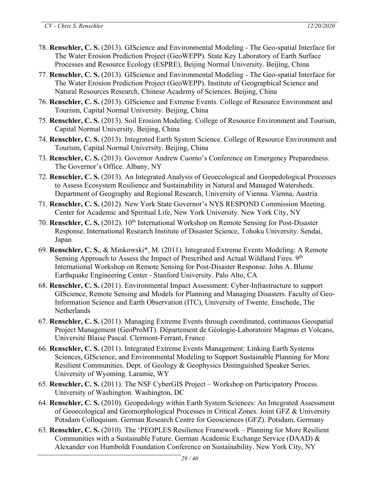- 78. **Renschler, C. S.** (2013). GIScience and Environmental Modeling The Geo-spatial Interface for The Water Erosion Prediction Project (GeoWEPP). State Key Laboratory of Earth Surface Processes and Resource Ecology (ESPRE), Beijing Normal University. Beijing, China
- 77. **Renschler, C. S.** (2013). GIScience and Environmental Modeling The Geo-spatial Interface for The Water Erosion Prediction Project (GeoWEPP). Institute of Geographical Science and Natural Resources Research, Chinese Academy of Sciences. Beijing, China
- 76. **Renschler, C. S.** (2013). GIScience and Extreme Events. College of Resource Environment and Tourism, Capital Normal University. Beijing, China
- 75. **Renschler, C. S.** (2013). Soil Erosion Modeling. College of Resource Environment and Tourism, Capital Normal University. Beijing, China
- 74. **Renschler, C. S.** (2013). Integrated Earth System Science. College of Resource Environment and Tourism, Capital Normal University. Beijing, China
- 73. **Renschler, C. S.** (2013). Governor Andrew Cuomo's Conference on Emergency Preparedness. The Governor's Office. Albany, NY
- 72. **Renschler, C. S.** (2013). An Integrated Analysis of Geoecological and Geopedological Processes to Assess Ecosystem Resilience and Sustainability in Natural and Managed Watersheds. Department of Geography and Regional Research, University of Vienna. Vienna, Austria
- 71. **Renschler, C. S.** (2012). New York State Governor's NYS RESPOND Commission Meeting. Center for Academic and Spiritual Life, New York University. New York City, NY
- 70. **Renschler, C. S.** (2012). 10th International Workshop on Remote Sensing for Post-Disaster Response. International Research Institute of Disaster Science, Tohoku University. Sendai, Japan
- 69. **Renschler, C. S.**, & Minkowski\*, M. (2011). Integrated Extreme Events Modeling: A Remote Sensing Approach to Assess the Impact of Prescribed and Actual Wildland Fires. 9<sup>th</sup> International Workshop on Remote Sensing for Post-Disaster Response. John A. Blume Earthquake Engineering Center - Stanford University. Palo Alto, CA
- 68. **Renschler, C. S.** (2011). Environmental Impact Assessment: Cyber-Infrastructure to support GIScience, Remote Sensing and Models for Planning and Managing Disasters. Faculty of Geo-Information Science and Earth Observation (ITC), University of Twente. Enschede, The **Netherlands**
- 67. **Renschler, C. S.** (2011). Managing Extreme Events through coordinated, continuous Geospatial Project Management (GeoProMT). Département de Géologie-Laboratoire Magmas et Volcans, Université Blaise Pascal. Clermont-Ferrant, France
- 66. **Renschler, C. S.** (2011). Integrated Extreme Events Management: Linking Earth Systems Sciences, GIScience, and Environmental Modeling to Support Sustainable Planning for More Resilient Communities. Dept. of Geology & Geophysics Distinguished Speaker Series. University of Wyoming. Laramie, WY
- 65. **Renschler, C. S.** (2011). The NSF CyberGIS Project Workshop on Participatory Process. University of Washington. Washington, DC
- 64. **Renschler, C. S.** (2010). Geopedology within Earth System Sciences: An Integrated Assessment of Geoecological and Geomorphological Processes in Critical Zones. Joint GFZ & University Potsdam Colloquium. German Research Centre for Geosciences (GFZ). Potsdam, Germany
- 63. **Renschler, C. S.** (2010). The 'PEOPLES Resilience Framework Planning for More Resilient Communities with a Sustainable Future. German Academic Exchange Service (DAAD)  $\&$ Alexander von Humboldt Foundation Conference on Sustainability. New York City, NY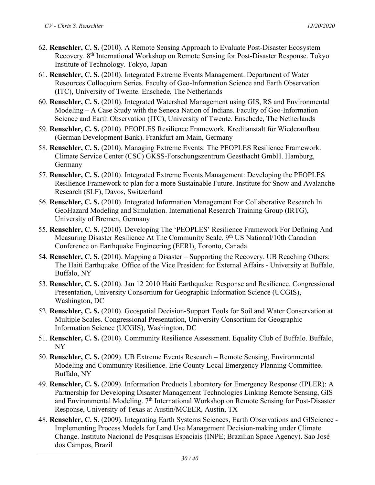- 62. **Renschler, C. S.** (2010). A Remote Sensing Approach to Evaluate Post-Disaster Ecosystem Recovery. 8th International Workshop on Remote Sensing for Post-Disaster Response. Tokyo Institute of Technology. Tokyo, Japan
- 61. **Renschler, C. S.** (2010). Integrated Extreme Events Management. Department of Water Resources Colloquium Series. Faculty of Geo-Information Science and Earth Observation (ITC), University of Twente. Enschede, The Netherlands
- 60. **Renschler, C. S.** (2010). Integrated Watershed Management using GIS, RS and Environmental Modeling – A Case Study with the Seneca Nation of Indians. Faculty of Geo-Information Science and Earth Observation (ITC), University of Twente. Enschede, The Netherlands
- 59. **Renschler, C. S.** (2010). PEOPLES Resilience Framework. Kreditanstalt für Wiederaufbau (German Development Bank). Frankfurt am Main, Germany
- 58. **Renschler, C. S.** (2010). Managing Extreme Events: The PEOPLES Resilience Framework. Climate Service Center (CSC) GKSS-Forschungszentrum Geesthacht GmbH. Hamburg, Germany
- 57. **Renschler, C. S.** (2010). Integrated Extreme Events Management: Developing the PEOPLES Resilience Framework to plan for a more Sustainable Future. Institute for Snow and Avalanche Research (SLF), Davos, Switzerland
- 56. **Renschler, C. S.** (2010). Integrated Information Management For Collaborative Research In GeoHazard Modeling and Simulation. International Research Training Group (IRTG), University of Bremen, Germany
- 55. **Renschler, C. S.** (2010). Developing The 'PEOPLES' Resilience Framework For Defining And Measuring Disaster Resilience At The Community Scale. 9<sup>th</sup> US National/10th Canadian Conference on Earthquake Engineering (EERI), Toronto, Canada
- 54. **Renschler, C. S.** (2010). Mapping a Disaster Supporting the Recovery. UB Reaching Others: The Haiti Earthquake. Office of the Vice President for External Affairs - University at Buffalo, Buffalo, NY
- 53. **Renschler, C. S.** (2010). Jan 12 2010 Haiti Earthquake: Response and Resilience. Congressional Presentation, University Consortium for Geographic Information Science (UCGIS), Washington, DC
- 52. **Renschler, C. S.** (2010). Geospatial Decision-Support Tools for Soil and Water Conservation at Multiple Scales. Congressional Presentation, University Consortium for Geographic Information Science (UCGIS), Washington, DC
- 51. **Renschler, C. S.** (2010). Community Resilience Assessment. Equality Club of Buffalo. Buffalo, NY
- 50. **Renschler, C. S.** (2009). UB Extreme Events Research Remote Sensing, Environmental Modeling and Community Resilience. Erie County Local Emergency Planning Committee. Buffalo, NY
- 49. **Renschler, C. S.** (2009). Information Products Laboratory for Emergency Response (IPLER): A Partnership for Developing Disaster Management Technologies Linking Remote Sensing, GIS and Environmental Modeling. 7<sup>th</sup> International Workshop on Remote Sensing for Post-Disaster Response, University of Texas at Austin/MCEER, Austin, TX
- 48. **Renschler, C. S.** (2009). Integrating Earth Systems Sciences, Earth Observations and GIScience Implementing Process Models for Land Use Management Decision-making under Climate Change. Instituto Nacional de Pesquisas Espaciais (INPE; Brazilian Space Agency). Sao José dos Campos, Brazil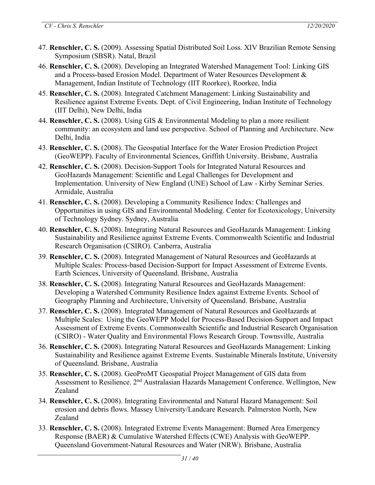- 47. **Renschler, C. S.** (2009). Assessing Spatial Distributed Soil Loss. XIV Brazilian Remote Sensing Symposium (SBSR). Natal, Brazil
- 46. **Renschler, C. S.** (2008). Developing an Integrated Watershed Management Tool: Linking GIS and a Process-based Erosion Model. Department of Water Resources Development & Management, Indian Institute of Technology (IIT Roorkee), Roorkee, India
- 45. **Renschler, C. S.** (2008). Integrated Catchment Management: Linking Sustainability and Resilience against Extreme Events. Dept. of Civil Engineering, Indian Institute of Technology (IIT Delhi), New Delhi, India
- 44. **Renschler, C. S.** (2008). Using GIS & Environmental Modeling to plan a more resilient community: an ecosystem and land use perspective. School of Planning and Architecture. New Delhi, India
- 43. **Renschler, C. S.** (2008). The Geospatial Interface for the Water Erosion Prediction Project (GeoWEPP). Faculty of Environmental Sciences, Griffith University. Brisbane, Australia
- 42. **Renschler, C. S.** (2008). Decision-Support Tools for Integrated Natural Resources and GeoHazards Management: Scientific and Legal Challenges for Development and Implementation. University of New England (UNE) School of Law - Kirby Seminar Series. Armidale, Australia
- 41. **Renschler, C. S.** (2008). Developing a Community Resilience Index: Challenges and Opportunities in using GIS and Environmental Modeling. Center for Ecotoxicology, University of Technology Sydney. Sydney, Australia
- 40. **Renschler, C. S.** (2008). Integrating Natural Resources and GeoHazards Management: Linking Sustainability and Resilience against Extreme Events. Commonwealth Scientific and Industrial Research Organisation (CSIRO). Canberra, Australia
- 39. **Renschler, C. S.** (2008). Integrated Management of Natural Resources and GeoHazards at Multiple Scales: Process-based Decision-Support for Impact Assessment of Extreme Events. Earth Sciences, University of Queensland. Brisbane, Australia
- 38. **Renschler, C. S.** (2008). Integrating Natural Resources and GeoHazards Management: Developing a Watershed Community Resilience Index against Extreme Events. School of Geography Planning and Architecture, University of Queensland. Brisbane, Australia
- 37. **Renschler, C. S.** (2008). Integrated Management of Natural Resources and GeoHazards at Multiple Scales: Using the GeoWEPP Model for Process-Based Decision-Support and Impact Assessment of Extreme Events. Commonwealth Scientific and Industrial Research Organisation (CSIRO) - Water Quality and Environmental Flows Research Group. Townsville, Australia
- 36. **Renschler, C. S.** (2008). Integrating Natural Resources and GeoHazards Management: Linking Sustainability and Resilience against Extreme Events. Sustainable Minerals Institute, University of Queensland. Brisbane, Australia
- 35. **Renschler, C. S.** (2008). GeoProMT Geospatial Project Management of GIS data from Assessment to Resilience. 2<sup>nd</sup> Australasian Hazards Management Conference. Wellington, New Zealand
- 34. **Renschler, C. S.** (2008). Integrating Environmental and Natural Hazard Management: Soil erosion and debris flows. Massey University/Landcare Research. Palmerston North, New Zealand
- 33. **Renschler, C. S.** (2008). Integrated Extreme Events Management: Burned Area Emergency Response (BAER) & Cumulative Watershed Effects (CWE) Analysis with GeoWEPP. Queensland Government-Natural Resources and Water (NRW). Brisbane, Australia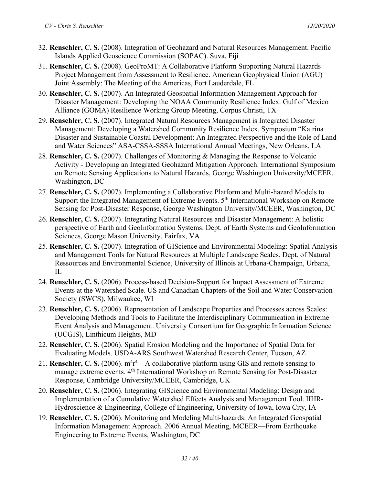- 32. **Renschler, C. S.** (2008). Integration of Geohazard and Natural Resources Management. Pacific Islands Applied Geoscience Commission (SOPAC). Suva, Fiji
- 31. **Renschler, C. S.** (2008). GeoProMT: A Collaborative Platform Supporting Natural Hazards Project Management from Assessment to Resilience. American Geophysical Union (AGU) Joint Assembly: The Meeting of the Americas, Fort Lauderdale, FL
- 30. **Renschler, C. S.** (2007). An Integrated Geospatial Information Management Approach for Disaster Management: Developing the NOAA Community Resilience Index. Gulf of Mexico Alliance (GOMA) Resilience Working Group Meeting, Corpus Christi, TX
- 29. **Renschler, C. S.** (2007). Integrated Natural Resources Management is Integrated Disaster Management: Developing a Watershed Community Resilience Index. Symposium "Katrina Disaster and Sustainable Coastal Development: An Integrated Perspective and the Role of Land and Water Sciences" ASA-CSSA-SSSA International Annual Meetings, New Orleans, LA
- 28. **Renschler, C. S.** (2007). Challenges of Monitoring & Managing the Response to Volcanic Activity - Developing an Integrated Geohazard Mitigation Approach. International Symposium on Remote Sensing Applications to Natural Hazards, George Washington University/MCEER, Washington, DC
- 27. **Renschler, C. S.** (2007). Implementing a Collaborative Platform and Multi-hazard Models to Support the Integrated Management of Extreme Events. 5<sup>th</sup> International Workshop on Remote Sensing for Post-Disaster Response, George Washington University/MCEER, Washington, DC
- 26. **Renschler, C. S.** (2007). Integrating Natural Resources and Disaster Management: A holistic perspective of Earth and GeoInformation Systems. Dept. of Earth Systems and GeoInformation Sciences, George Mason University, Fairfax, VA
- 25. **Renschler, C. S.** (2007). Integration of GIScience and Environmental Modeling: Spatial Analysis and Management Tools for Natural Resources at Multiple Landscape Scales. Dept. of Natural Ressources and Environmental Science, University of Illinois at Urbana-Champaign, Urbana, IL
- 24. **Renschler, C. S.** (2006). Process-based Decision-Support for Impact Assessment of Extreme Events at the Watershed Scale. US and Canadian Chapters of the Soil and Water Conservation Society (SWCS), Milwaukee, WI
- 23. **Renschler, C. S.** (2006). Representation of Landscape Properties and Processes across Scales: Developing Methods and Tools to Facilitate the Interdisciplinary Communication in Extreme Event Analysis and Management. University Consortium for Geographic Information Science (UCGIS), Linthicum Heights, MD
- 22. **Renschler, C. S.** (2006). Spatial Erosion Modeling and the Importance of Spatial Data for Evaluating Models. USDA-ARS Southwest Watershed Research Center, Tucson, AZ
- 21. **Renschler, C. S.** (2006).  $m^4r^4 A$  collaborative platform using GIS and remote sensing to manage extreme events. 4<sup>th</sup> International Workshop on Remote Sensing for Post-Disaster Response, Cambridge University/MCEER, Cambridge, UK
- 20. **Renschler, C. S.** (2006). Integrating GIScience and Environmental Modeling: Design and Implementation of a Cumulative Watershed Effects Analysis and Management Tool. IIHR-Hydroscience & Engineering, College of Engineering, University of Iowa, Iowa City, IA
- 19. **Renschler, C. S.** (2006). Monitoring and Modeling Multi-hazards: An Integrated Geospatial Information Management Approach. 2006 Annual Meeting, MCEER—From Earthquake Engineering to Extreme Events, Washington, DC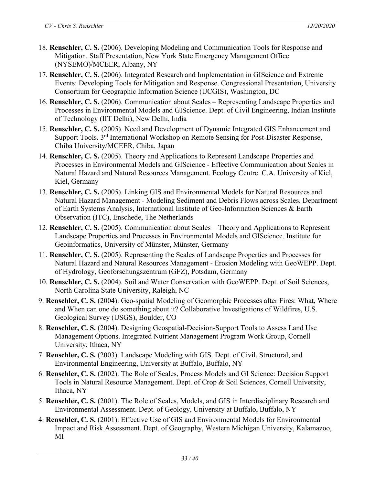- 18. **Renschler, C. S.** (2006). Developing Modeling and Communication Tools for Response and Mitigation. Staff Presentation, New York State Emergency Management Office (NYSEMO)/MCEER, Albany, NY
- 17. **Renschler, C. S.** (2006). Integrated Research and Implementation in GIScience and Extreme Events: Developing Tools for Mitigation and Response. Congressional Presentation, University Consortium for Geographic Information Science (UCGIS), Washington, DC
- 16. **Renschler, C. S.** (2006). Communication about Scales Representing Landscape Properties and Processes in Environmental Models and GIScience. Dept. of Civil Engineering, Indian Institute of Technology (IIT Delhi), New Delhi, India
- 15. **Renschler, C. S.** (2005). Need and Development of Dynamic Integrated GIS Enhancement and Support Tools. 3<sup>rd</sup> International Workshop on Remote Sensing for Post-Disaster Response, Chiba University/MCEER, Chiba, Japan
- 14. **Renschler, C. S.** (2005). Theory and Applications to Represent Landscape Properties and Processes in Environmental Models and GIScience - Effective Communication about Scales in Natural Hazard and Natural Resources Management. Ecology Centre. C.A. University of Kiel, Kiel, Germany
- 13. **Renschler, C. S.** (2005). Linking GIS and Environmental Models for Natural Resources and Natural Hazard Management - Modeling Sediment and Debris Flows across Scales. Department of Earth Systems Analysis, International Institute of Geo-Information Sciences & Earth Observation (ITC), Enschede, The Netherlands
- 12. **Renschler, C. S.** (2005). Communication about Scales Theory and Applications to Represent Landscape Properties and Processes in Environmental Models and GIScience. Institute for Geoinformatics, University of Münster, Münster, Germany
- 11. **Renschler, C. S.** (2005). Representing the Scales of Landscape Properties and Processes for Natural Hazard and Natural Resources Management - Erosion Modeling with GeoWEPP. Dept. of Hydrology, Geoforschungszentrum (GFZ), Potsdam, Germany
- 10. **Renschler, C. S.** (2004). Soil and Water Conservation with GeoWEPP. Dept. of Soil Sciences, North Carolina State University, Raleigh, NC
- 9. **Renschler, C. S.** (2004). Geo-spatial Modeling of Geomorphic Processes after Fires: What, Where and When can one do something about it? Collaborative Investigations of Wildfires, U.S. Geological Survey (USGS), Boulder, CO
- 8. **Renschler, C. S.** (2004). Designing Geospatial-Decision-Support Tools to Assess Land Use Management Options. Integrated Nutrient Management Program Work Group, Cornell University, Ithaca, NY
- 7. **Renschler, C. S.** (2003). Landscape Modeling with GIS. Dept. of Civil, Structural, and Environmental Engineering, University at Buffalo, Buffalo, NY
- 6. **Renschler, C. S.** (2002). The Role of Scales, Process Models and GI Science: Decision Support Tools in Natural Resource Management. Dept. of Crop & Soil Sciences, Cornell University, Ithaca, NY
- 5. **Renschler, C. S.** (2001). The Role of Scales, Models, and GIS in Interdisciplinary Research and Environmental Assessment. Dept. of Geology, University at Buffalo, Buffalo, NY
- 4. **Renschler, C. S.** (2001). Effective Use of GIS and Environmental Models for Environmental Impact and Risk Assessment. Dept. of Geography, Western Michigan University, Kalamazoo, MI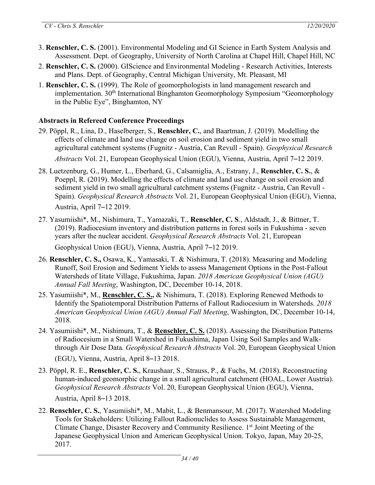- 3. **Renschler, C. S.** (2001). Environmental Modeling and GI Science in Earth System Analysis and Assessment. Dept. of Geography, University of North Carolina at Chapel Hill, Chapel Hill, NC
- 2. **Renschler, C. S.** (2000). GIScience and Environmental Modeling Research Activities, Interests and Plans. Dept. of Geography, Central Michigan University, Mt. Pleasant, MI
- 1. **Renschler, C. S.** (1999). The Role of geomorphologists in land management research and implementation. 30th International Binghamton Geomorphology Symposium "Geomorphology in the Public Eye", Binghamton, NY

#### **Abstracts in Refereed Conference Proceedings**

- 29. Pöppl, R., Lina, D., Haselberger, S., **Renschler, C.**, and Baartman, J. (2019). Modelling the effects of climate and land use change on soil erosion and sediment yield in two small agricultural catchment systems (Fugnitz - Austria, Can Revull - Spain). *Geophysical Research Abstracts* Vol. 21, European Geophysical Union (EGU), Vienna, Austria, April 7–12 2019.
- 28. Luetzenburg, G., Humer, L., Eberhard, G., Calsamiglia, A., Estrany, J., **Renschler, C. S.**, & Poeppl, R. (2019). Modelling the effects of climate and land use change on soil erosion and sediment yield in two small agricultural catchment systems (Fugnitz - Austria, Can Revull - Spain). *Geophysical Research Abstracts* Vol. 21, European Geophysical Union (EGU), Vienna, Austria, April 7–12 2019.
- 27. Yasumiishi\*, M., Nishimura, T., Yamazaki, T., **Renschler, C. S**., Aldstadt, J., & Bittner, T. (2019). Radiocesium inventory and distribution patterns in forest soils in Fukushima - seven years after the nuclear accident. *Geophysical Research Abstracts* Vol. 21, European Geophysical Union (EGU), Vienna, Austria, April 7–12 2019.
- 26. **Renschler, C. S.,** Osawa, K., Yamasaki, T. & Nishimura, T. (2018). Measuring and Modeling Runoff, Soil Erosion and Sediment Yields to assess Management Options in the Post-Fallout Watersheds of Iitate Village, Fukushima, Japan. *2018 American Geophysical Union (AGU) Annual Fall Meeting*, Washington, DC, December 10-14, 2018.
- 25. Yasumiishi\*, M., **Renschler, C. S.,** & Nishimura, T. (2018). Exploring Renewed Methods to Identify the Spatiotemporal Distribution Patterns of Fallout Radiocesium in Watersheds. *2018 American Geophysical Union (AGU) Annual Fall Meeting*, Washington, DC, December 10-14, 2018.
- 24. Yasumiishi\*, M., Nishimura, T., & **Renschler, C. S.** (2018). Assessing the Distribution Patterns of Radiocesium in a Small Watershed in Fukushima, Japan Using Soil Samples and Walkthrough Air Dose Data. *Geophysical Research Abstracts* Vol. 20, European Geophysical Union
	- (EGU), Vienna, Austria, April 8–13 2018.
- 23. Pöppl, R. E., **Renschler, C. S.**, Kraushaar, S., Strauss, P., & Fuchs, M. (2018). Reconstructing human-induced geomorphic change in a small agricultural catchment (HOAL, Lower Austria). *Geophysical Research Abstracts* Vol. 20, European Geophysical Union (EGU), Vienna, Austria, April 8–13 2018.
- 22. **Renschler, C. S.**, Yasumiishi\*, M., Mabit, L., & Benmansour, M. (2017). Watershed Modeling Tools for Stakeholders: Utilizing Fallout Radionuclides to Assess Sustainable Management, Climate Change, Disaster Recovery and Community Resilience. 1<sup>st</sup> Joint Meeting of the Japanese Geophysical Union and American Geophysical Union. Tokyo, Japan, May 20-25, 2017.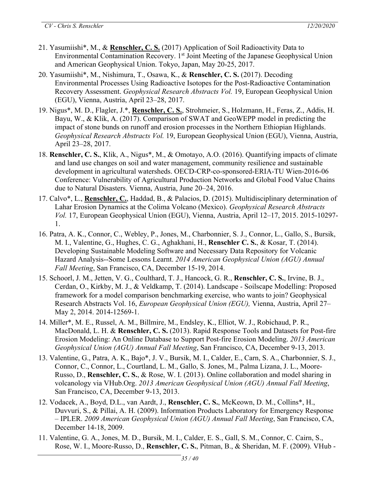- 21. Yasumiishi\*, M., & **Renschler, C. S.** (2017) Application of Soil Radioactivity Data to Environmental Contamination Recovery. 1<sup>st</sup> Joint Meeting of the Japanese Geophysical Union and American Geophysical Union. Tokyo, Japan, May 20-25, 2017.
- 20. Yasumiishi\*, M., Nishimura, T., Osawa, K., & **Renschler, C. S.** (2017). Decoding Environmental Processes Using Radioactive Isotopes for the Post-Radioactive Contamination Recovery Assessment. *Geophysical Research Abstracts Vol.* 19, European Geophysical Union (EGU), Vienna, Austria, April 23–28, 2017.
- 19. Nigus\*, M. D., Flagler, J.\*, **Renschler, C. S.**, Strohmeier, S., Holzmann, H., Feras, Z., Addis, H. Bayu, W., & Klik, A. (2017). Comparison of SWAT and GeoWEPP model in predicting the impact of stone bunds on runoff and erosion processes in the Northern Ethiopian Highlands. *Geophysical Research Abstracts Vol.* 19, European Geophysical Union (EGU), Vienna, Austria, April 23–28, 2017.
- 18. **Renschler, C. S.**, Klik, A., Nigus\*, M., & Omotayo, A.O. (2016). Quantifying impacts of climate and land use changes on soil and water management, community resilience and sustainable development in agricultural watersheds. OECD-CRP-co-sponsored-ERIA-TU Wien-2016-06 Conference: Vulnerability of Agricultural Production Networks and Global Food Value Chains due to Natural Disasters. Vienna, Austria, June 20–24, 2016.
- 17. Calvo\*, L., **Renschler, C.**, Haddad, B., & Palacios, D. (2015). Multidisciplinary determination of Lahar Erosion Dynamics at the Colima Volcano (Mexico). *Geophysical Research Abstracts Vol.* 17, European Geophysical Union (EGU), Vienna, Austria, April 12–17, 2015. 2015-10297- 1.
- 16. Patra, A. K., Connor, C., Webley, P., Jones, M., Charbonnier, S. J., Connor, L., Gallo, S., Bursik, M. I., Valentine, G., Hughes, C. G., Aghakhani, H., **Renschler C. S.**, & Kosar, T. (2014). Developing Sustainable Modeling Software and Necessary Data Repository for Volcanic Hazard Analysis--Some Lessons Learnt. *2014 American Geophysical Union (AGU) Annual Fall Meeting*, San Francisco, CA, December 15-19, 2014.
- 15. Schoorl, J. M., Jetten, V. G., Coulthard, T. J., Hancock, G. R., **Renschler, C. S.**, Irvine, B. J., Cerdan, O., Kirkby, M. J., & Veldkamp, T. (2014). Landscape - Soilscape Modelling: Proposed framework for a model comparison benchmarking exercise, who wants to join? Geophysical Research Abstracts Vol. 16, *European Geophysical Union (EGU),* Vienna, Austria, April 27– May 2, 2014. 2014-12569-1.
- 14. Miller\*, M. E., Russel, A. M., Billmire, M., Endsley, K., Elliot, W. J., Robichaud, P. R., MacDonald, L. H. & **Renschler, C. S.** (2013). Rapid Response Tools and Datasets for Post-fire Erosion Modeling: An Online Database to Support Post-fire Erosion Modeling. *2013 American Geophysical Union (AGU) Annual Fall Meeting*, San Francisco, CA, December 9-13, 2013.
- 13. Valentine, G., Patra, A. K., Bajo\*, J. V., Bursik, M. I., Calder, E., Carn, S. A., Charbonnier, S. J., Connor, C., Connor, L., Courtland, L. M., Gallo, S. Jones, M., Palma Lizana, J. L., Moore-Russo, D., **Renschler, C. S.**, & Rose, W. I. (2013). Online collaboration and model sharing in volcanology via VHub.Org. *2013 American Geophysical Union (AGU) Annual Fall Meeting*, San Francisco, CA, December 9-13, 2013.
- 12. Vodacek, A., Boyd, D.L., van Aardt, J., **Renschler, C. S.**, McKeown, D. M., Collins\*, H., Duvvuri, S., & Pillai, A. H. (2009). Information Products Laboratory for Emergency Response – IPLER. *2009 American Geophysical Union (AGU) Annual Fall Meeting*, San Francisco, CA, December 14-18, 2009.
- 11. Valentine, G. A., Jones, M. D., Bursik, M. I., Calder, E. S., Gall, S. M., Connor, C. Cairn, S., Rose, W. I., Moore-Russo, D., **Renschler, C. S.**, Pitman, B., & Sheridan, M. F. (2009). VHub -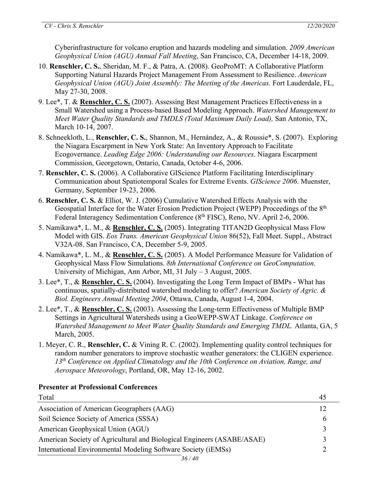Cyberinfrastructure for volcano eruption and hazards modeling and simulation. *2009 American Geophysical Union (AGU) Annual Fall Meeting*, San Francisco, CA, December 14-18, 2009.

- 10. **Renschler, C. S.**, Sheridan, M. F., & Patra, A. (2008). GeoProMT: A Collaborative Platform Supporting Natural Hazards Project Management From Assessment to Resilience. *American Geophysical Union (AGU) Joint Assembly: The Meeting of the Americas.* Fort Lauderdale, FL, May 27-30, 2008.
- 9. Lee\*, T. & **Renschler, C. S.** (2007). Assessing Best Management Practices Effectiveness in a Small Watershed using a Process-based Based Modeling Approach. *Watershed Management to Meet Water Quality Standards and TMDLS (Total Maximum Daily Load),* San Antonio, TX, March 10-14, 2007.
- 8. Schneekloth, L., **Renschler, C. S.**, Shannon, M., Hernández, A., & Roussie\*, S. (2007). Exploring the Niagara Escarpment in New York State: An Inventory Approach to Facilitate Ecogovernance. *Leading Edge 2006: Understanding our Resources*. Niagara Escarpment Commission, Georgetown, Ontario, Canada, October 4-6, 2006.
- 7. **Renschler, C. S.** (2006). A Collaborative GIScience Platform Facilitating Interdisciplinary Communication about Spatiotemporal Scales for Extreme Events. *GIScience 2006*. Muenster, Germany, September 19-23, 2006.
- 6. **Renschler, C. S.** & Elliot, W. J. (2006) Cumulative Watershed Effects Analysis with the Geospatial Interface for the Water Erosion Prediction Project (WEPP) Proceedings of the 8<sup>th</sup> Federal Interagency Sedimentation Conference (8<sup>th</sup> FISC), Reno, NV. April 2-6, 2006.
- 5. Namikawa\*, L. M., & **Renschler, C. S.** (2005). Integrating TITAN2D Geophysical Mass Flow Model with GIS. *Eos Trans. American Geophysical Union* 86(52), Fall Meet. Suppl., Abstract V32A-08. San Francisco, CA, December 5-9, 2005.
- 4. Namikawa\*, L. M., & **Renschler, C. S.** (2005). A Model Performance Measure for Validation of Geophysical Mass Flow Simulations. *8th International Conference on GeoComputation.* University of Michigan, Ann Arbor, MI, 31 July – 3 August, 2005.
- 3. Lee\*, T., & **Renschler, C. S.** (2004). Investigating the Long Term Impact of BMPs What has continuous, spatially-distributed watershed modeling to offer? *American Society of Agric. & Biol. Engineers Annual Meeting 2004*, Ottawa, Canada, August 1-4, 2004.
- 2. Lee\*, T., & **Renschler, C. S.** (2003). Assessing the Long-term Effectiveness of Multiple BMP Settings in Agricultural Watersheds using a GeoWEPP-SWAT Linkage. *Conference on Watershed Management to Meet Water Quality Standards and Emerging TMDL.* Atlanta, GA, 5 March, 2005.
- 1. Meyer, C. R., **Renschler, C.** & Vining R. C. (2002). Implementing quality control techniques for random number generators to improve stochastic weather generators: the CLIGEN experience. *13th Conference on Applied Climatology and the 10th Conference on Aviation, Range, and Aerospace Meteorology*, Portland, OR, May 12-16, 2002.

### **Presenter at Professional Conferences**

| Total                                                                  |  |
|------------------------------------------------------------------------|--|
| Association of American Geographers (AAG)                              |  |
| Soil Science Society of America (SSSA)                                 |  |
| American Geophysical Union (AGU)                                       |  |
| American Society of Agricultural and Biological Engineers (ASABE/ASAE) |  |
| International Environmental Modeling Software Society (iEMSs)          |  |
| 27/10                                                                  |  |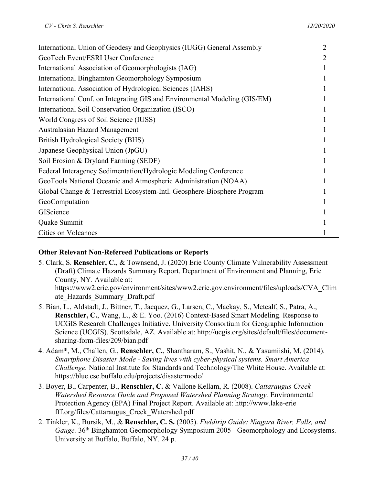| International Union of Geodesy and Geophysics (IUGG) General Assembly      | 2 |
|----------------------------------------------------------------------------|---|
| GeoTech Event/ESRI User Conference                                         | 2 |
| International Association of Geomorphologists (IAG)                        |   |
| International Binghamton Geomorphology Symposium                           |   |
| International Association of Hydrological Sciences (IAHS)                  |   |
| International Conf. on Integrating GIS and Environmental Modeling (GIS/EM) |   |
| International Soil Conservation Organization (ISCO)                        |   |
| World Congress of Soil Science (IUSS)                                      |   |
| Australasian Hazard Management                                             |   |
| British Hydrological Society (BHS)                                         |   |
| Japanese Geophysical Union (JpGU)                                          |   |
| Soil Erosion & Dryland Farming (SEDF)                                      |   |
| Federal Interagency Sedimentation/Hydrologic Modeling Conference           |   |
| GeoTools National Oceanic and Atmospheric Administration (NOAA)            |   |
| Global Change & Terrestrial Ecosystem-Intl. Geosphere-Biosphere Program    |   |
| GeoComputation                                                             |   |
| GIScience                                                                  |   |
| Quake Summit                                                               |   |
| Cities on Volcanoes                                                        |   |

### **Other Relevant Non-Refereed Publications or Reports**

- 5. Clark, S. **Renschler, C.**, & Townsend, J. (2020) Erie County Climate Vulnerability Assessment (Draft) Climate Hazards Summary Report. Department of Environment and Planning, Erie County, NY. Available at: https://www2.erie.gov/environment/sites/www2.erie.gov.environment/files/uploads/CVA\_Clim ate\_Hazards\_Summary\_Draft.pdf
- 5. Bian, L., Aldstadt, J., Bittner, T., Jacquez, G., Larsen, C., Mackay, S., Metcalf, S., Patra, A., **Renschler, C.**, Wang, L., & E. Yoo. (2016) Context-Based Smart Modeling. Response to UCGIS Research Challenges Initiative. University Consortium for Geographic Information Science (UCGIS). Scottsdale, AZ. Available at: http://ucgis.org/sites/default/files/documentsharing-form-files/209/bian.pdf
- 4. Adam\*, M., Challen, G., **Renschler, C.**, Shantharam, S., Vashit, N., & Yasumiishi, M. (2014). *Smartphone Disaster Mode - Saving lives with cyber-physical systems. Smart America Challenge.* National Institute for Standards and Technology/The White House. Available at: https://blue.cse.buffalo.edu/projects/disastermode/
- 3. Boyer, B., Carpenter, B., **Renschler, C.** & Vallone Kellam, R. (2008). *Cattaraugus Creek Watershed Resource Guide and Proposed Watershed Planning Strategy.* Environmental Protection Agency (EPA) Final Project Report. Available at: http://www.lake-erie fff.org/files/Cattaraugus\_Creek\_Watershed.pdf
- 2. Tinkler, K., Bursik, M., & **Renschler, C. S.** (2005). *Fieldtrip Guide: Niagara River, Falls, and Gauge.* 36th Binghamton Geomorphology Symposium 2005 - Geomorphology and Ecosystems. University at Buffalo, Buffalo, NY. 24 p.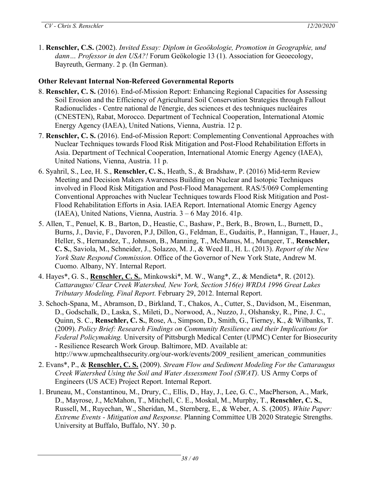1. **Renschler, C.S.** (2002). *Invited Essay: Diplom in Geoökologie, Promotion in Geographie, und dann… Professor in den USA?!* Forum Geökologie 13 (1). Association for Geoecology, Bayreuth, Germany. 2 p. (In German).

# **Other Relevant Internal Non-Refereed Governmental Reports**

- 8. **Renschler, C. S.** (2016). End-of-Mission Report: Enhancing Regional Capacities for Assessing Soil Erosion and the Efficiency of Agricultural Soil Conservation Strategies through Fallout Radionuclides - Centre national de l'énergie, des sciences et des techniques nucléaires (CNESTEN), Rabat, Morocco. Department of Technical Cooperation, International Atomic Energy Agency (IAEA), United Nations, Vienna, Austria. 12 p.
- 7. **Renschler, C. S.** (2016). End-of-Mission Report: Complementing Conventional Approaches with Nuclear Techniques towards Flood Risk Mitigation and Post-Flood Rehabilitation Efforts in Asia. Department of Technical Cooperation, International Atomic Energy Agency (IAEA), United Nations, Vienna, Austria. 11 p.
- 6. Syahril, S., Lee, H. S., **Renschler, C. S.**, Heath, S., & Bradshaw, P. (2016) Mid-term Review Meeting and Decision Makers Awareness Building on Nuclear and Isotopic Techniques involved in Flood Risk Mitigation and Post-Flood Management. RAS/5/069 Complementing Conventional Approaches with Nuclear Techniques towards Flood Risk Mitigation and Post-Flood Rehabilitation Efforts in Asia. IAEA Report. International Atomic Energy Agency (IAEA), United Nations, Vienna, Austria. 3 – 6 May 2016. 41p.
- 5. Allen, T., Penuel, K. B., Barton, D., Heastie, C., Bashaw, P., Berk, B., Brown, L., Burnett, D., Burns, J., Davie, F., Davoren, P.J, Dillon, G., Feldman, E., Gudaitis, P., Hannigan, T., Hauer, J., Heller, S., Hernandez, T., Johnson, B., Manning, T., McManus, M., Mungeer, T., **Renschler, C. S.**, Saviola, M., Schneider, J., Solazzo, M. J., & Weed II., H. L. (2013). *Report of the New York State Respond Commission.* Office of the Governor of New York State, Andrew M. Cuomo. Albany, NY. Internal Report.
- 4. Hayes\*, G. S., **Renschler, C. S.**, Minkowski\*, M. W., Wang\*, Z., & Mendieta\*, R. (2012). *Cattaraugus/ Clear Creek Watershed, New York, Section 516(e) WRDA 1996 Great Lakes Tributary Modeling, Final Report.* February 29, 2012. Internal Report.
- 3. Schoch-Spana, M., Abramson, D., Birkland, T., Chakos, A., Cutter, S., Davidson, M., Eisenman, D., Godschalk, D., Laska, S., Mileti, D., Norwood, A., Nuzzo, J., Olshansky, R., Pine, J. C., Quinn, S. C., **Renschler, C. S.**, Rose, A., Simpson, D., Smith, G., Tierney, K., & Wilbanks, T. (2009). *Policy Brief: Research Findings on Community Resilience and their Implications for Federal Policymaking.* University of Pittsburgh Medical Center (UPMC) Center for Biosecurity - Resilience Research Work Group. Baltimore, MD. Available at: http://www.upmchealthsecurity.org/our-work/events/2009 resilient american communities
- 2. Evans\*, P., & **Renschler, C. S.** (2009). *Stream Flow and Sediment Modeling For the Cattaraugus Creek Watershed Using the Soil and Water Assessment Tool (SWAT).* US Army Corps of Engineers (US ACE) Project Report. Internal Report.
- 1. Bruneau, M., Constantinou, M., Drury, C., Ellis, D., Hay, J., Lee, G. C., MacPherson, A., Mark, D., Mayrose, J., McMahon, T., Mitchell, C. E., Moskal, M., Murphy, T., **Renschler, C. S.**, Russell, M., Ruyechan, W., Sheridan, M., Sternberg, E., & Weber, A. S. (2005). *White Paper: Extreme Events - Mitigation and Response.* Planning Committee UB 2020 Strategic Strengths. University at Buffalo, Buffalo, NY. 30 p.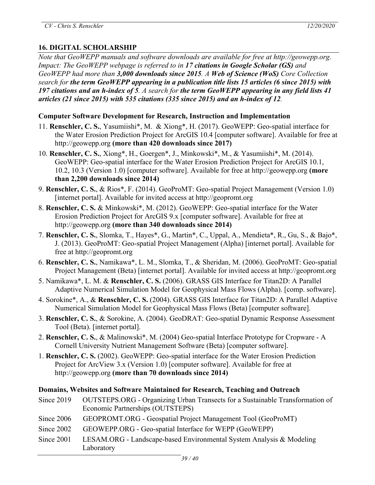# **16. DIGITAL SCHOLARSHIP**

*Note that GeoWEPP manuals and software downloads are available for free at http://geowepp.org. Impact: The GeoWEPP webpage is referred to in 17 citations in Google Scholar (GS) and GeoWEPP had more than 3,000 downloads since 2015. A Web of Science (WoS) Core Collection search for the term GeoWEPP appearing in a publication title lists 15 articles (6 since 2015) with* 197 citations and an h-index of 5. A search for the term GeoWEPP appearing in any field lists 41 *articles (21 since 2015) with 535 citations (335 since 2015) and an h-index of 12.*

#### **Computer Software Development for Research, Instruction and Implementation**

- 11. **Renschler, C. S.**, Yasumiishi\*, M. & Xiong\*, H. (2017). GeoWEPP: Geo-spatial interface for the Water Erosion Prediction Project for ArcGIS 10.4 [computer software]. Available for free at http://geowepp.org **(more than 420 downloads since 2017)**
- 10. **Renschler, C. S.**, Xiong\*, H., Goergen\*, J., Minkowski\*, M., & Yasumiishi\*, M. (2014). GeoWEPP: Geo-spatial interface for the Water Erosion Prediction Project for ArcGIS 10.1, 10.2, 10.3 (Version 1.0) [computer software]. Available for free at http://geowepp.org **(more than 2,200 downloads since 2014)**
- 9. **Renschler, C. S.**, & Rios\*, F. (2014). GeoProMT: Geo-spatial Project Management (Version 1.0) [internet portal]. Available for invited access at http://geopromt.org
- 8. **Renschler, C. S.** & Minkowski\*, M. (2012). GeoWEPP: Geo-spatial interface for the Water Erosion Prediction Project for ArcGIS 9.x [computer software]. Available for free at http://geowepp.org **(more than 340 downloads since 2014)**
- 7. **Renschler, C. S.**, Slomka, T., Hayes\*, G., Martin\*, C., Uppal, A., Mendieta\*, R., Gu, S., & Bajo\*, J. (2013). GeoProMT: Geo-spatial Project Management (Alpha) [internet portal]. Available for free at http://geopromt.org
- 6. **Renschler, C. S.**, Namikawa\*, L. M., Slomka, T., & Sheridan, M. (2006). GeoProMT: Geo-spatial Project Management (Beta) [internet portal]. Available for invited access at http://geopromt.org
- 5. Namikawa\*, L. M. & **Renschler, C. S.** (2006). GRASS GIS Interface for Titan2D: A Parallel Adaptive Numerical Simulation Model for Geophysical Mass Flows (Alpha). [comp. software].
- 4. Sorokine\*, A., & **Renschler, C. S.** (2004). GRASS GIS Interface for Titan2D: A Parallel Adaptive Numerical Simulation Model for Geophysical Mass Flows (Beta) [computer software].
- 3. **Renschler, C. S.**, & Sorokine, A. (2004). GeoDRAT: Geo-spatial Dynamic Response Assessment Tool (Beta). [internet portal].
- 2. **Renschler, C. S.**, & Malinowski\*, M. (2004) Geo-spatial Interface Prototype for Cropware A Cornell University Nutrient Management Software (Beta) [computer software].
- 1. **Renschler, C. S.** (2002). GeoWEPP: Geo-spatial interface for the Water Erosion Prediction Project for ArcView 3.x (Version 1.0) [computer software]. Available for free at http://geowepp.org **(more than 70 downloads since 2014)**

### **Domains, Websites and Software Maintained for Research, Teaching and Outreach**

- Since 2019 OUTSTEPS.ORG Organizing Urban Transects for a Sustainable Transformation of Economic Partnerships (OUTSTEPS)
- Since 2006 GEOPROMT.ORG Geospatial Project Management Tool (GeoProMT)
- Since 2002 GEOWEPP.ORG Geo-spatial Interface for WEPP (GeoWEPP)
- Since 2001 LESAM.ORG Landscape-based Environmental System Analysis & Modeling Laboratory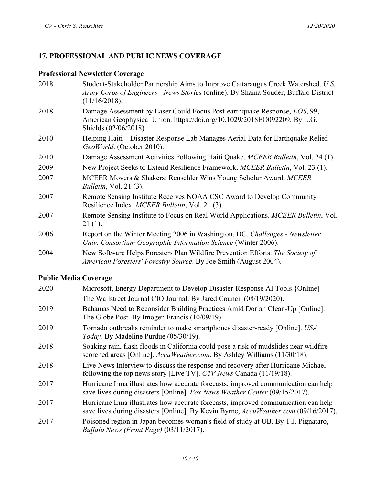## **17. PROFESSIONAL AND PUBLIC NEWS COVERAGE**

# **Professional Newsletter Coverage**

| 2018 | Student-Stakeholder Partnership Aims to Improve Cattaraugus Creek Watershed. U.S.<br>Army Corps of Engineers - News Stories (online). By Shaina Souder, Buffalo District<br>(11/16/2018). |
|------|-------------------------------------------------------------------------------------------------------------------------------------------------------------------------------------------|
| 2018 | Damage Assessment by Laser Could Focus Post-earthquake Response, EOS, 99,<br>American Geophysical Union. https://doi.org/10.1029/2018EO092209. By L.G.<br>Shields (02/06/2018).           |
| 2010 | Helping Haiti – Disaster Response Lab Manages Aerial Data for Earthquake Relief.<br>GeoWorld. (October 2010).                                                                             |
| 2010 | Damage Assessment Activities Following Haiti Quake. MCEER Bulletin, Vol. 24 (1).                                                                                                          |
| 2009 | New Project Seeks to Extend Resilience Framework. MCEER Bulletin, Vol. 23 (1).                                                                                                            |
| 2007 | MCEER Movers & Shakers: Renschler Wins Young Scholar Award. MCEER<br><i>Bulletin, Vol. 21 (3).</i>                                                                                        |
| 2007 | Remote Sensing Institute Receives NOAA CSC Award to Develop Community<br>Resilience Index. MCEER Bulletin, Vol. 21 (3).                                                                   |
| 2007 | Remote Sensing Institute to Focus on Real World Applications. MCEER Bulletin, Vol.<br>$21(1)$ .                                                                                           |
| 2006 | Report on the Winter Meeting 2006 in Washington, DC. Challenges - Newsletter<br>Univ. Consortium Geographic Information Science (Winter 2006).                                            |
| 2004 | New Software Helps Foresters Plan Wildfire Prevention Efforts. The Society of<br>American Foresters' Forestry Source. By Joe Smith (August 2004).                                         |

# **Public Media Coverage**

| 2020 | Microsoft, Energy Department to Develop Disaster-Response AI Tools {Online]                                                                                               |
|------|---------------------------------------------------------------------------------------------------------------------------------------------------------------------------|
|      | The Wallstreet Journal CIO Journal. By Jared Council (08/19/2020).                                                                                                        |
| 2019 | Bahamas Need to Reconsider Building Practices Amid Dorian Clean-Up [Online].<br>The Globe Post. By Imogen Francis (10/09/19).                                             |
| 2019 | Tornado outbreaks reminder to make smartphones disaster-ready [Online]. USA<br>Today. By Madeline Purdue (05/30/19).                                                      |
| 2018 | Soaking rain, flash floods in California could pose a risk of mudslides near wildfire-<br>scorched areas [Online]. AccuWeather.com. By Ashley Williams (11/30/18).        |
| 2018 | Live News Interview to discuss the response and recovery after Hurricane Michael<br>following the top news story [Live TV]. CTV News Canada (11/19/18).                   |
| 2017 | Hurricane Irma illustrates how accurate forecasts, improved communication can help<br>save lives during disasters [Online]. Fox News Weather Center (09/15/2017).         |
| 2017 | Hurricane Irma illustrates how accurate forecasts, improved communication can help<br>save lives during disasters [Online]. By Kevin Byrne, AccuWeather.com (09/16/2017). |
| 2017 | Poisoned region in Japan becomes woman's field of study at UB. By T.J. Pignataro,<br>Buffalo News (Front Page) (03/11/2017).                                              |
|      |                                                                                                                                                                           |